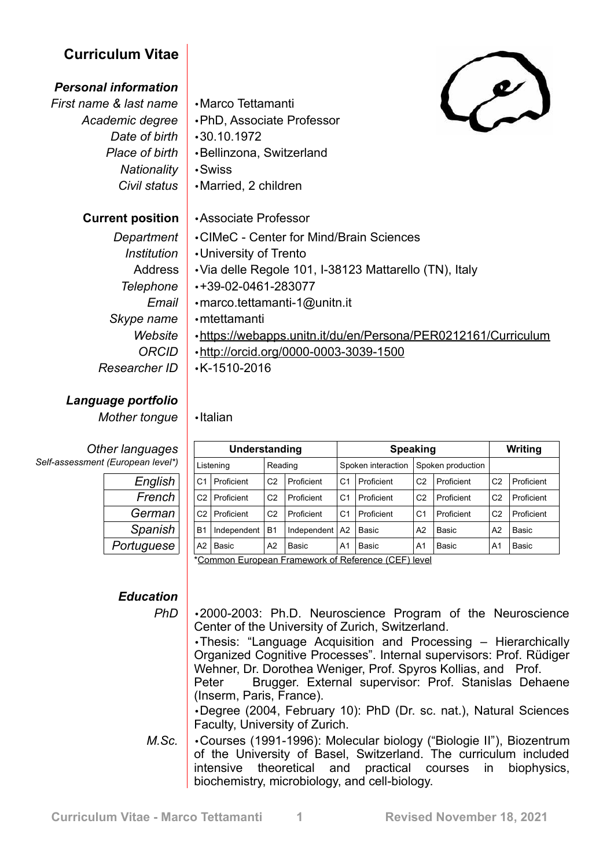## **Curriculum Vitae**

## *Personal information*

*First name & last name* •Marco Tettamanti *Academic degree* •PhD, Associate Professor *Date of birth* •30.10.1972 *Place of birth* •Bellinzona, Switzerland *Nationality* •Swiss *Civil status* •Married, 2 children **Current position** •Associate Professor *Department* •CIMeC - Center for Mind/Brain Sciences *Institution* •University of Trento

- Address Via delle Regole 101, I-38123 Mattarello (TN), Italy
- *Skype name* •mtettamanti
- *Telephone* •+39-02-0461-283077 *Email* •marco.tettamanti-1@unitn.it *Website* • https://webapps.unitn.it/du/en/Persona/PER0212161/Curriculum *ORCID* •<http://orcid.org/0000-0003-3039-1500> *Researcher ID* •K-1510-2016

*Mother tongue* •Italian

*Other languages Self-assessment (European level\*)*

*Language portfolio*

| English    |
|------------|
| French     |
| German     |
| Spanish    |
| Portuguese |

## *Education*

| Understanding                                       |             |                |             | <b>Speaking</b>    |            |                   |            | Writing        |            |
|-----------------------------------------------------|-------------|----------------|-------------|--------------------|------------|-------------------|------------|----------------|------------|
| Listening                                           |             | Reading        |             | Spoken interaction |            | Spoken production |            |                |            |
| C1                                                  | Proficient  | C2             | Proficient  | C1                 | Proficient | C <sub>2</sub>    | Proficient | C <sub>2</sub> | Proficient |
| C2                                                  | Proficient  | C2             | Proficient  | C1                 | Proficient | C <sub>2</sub>    | Proficient | C <sub>2</sub> | Proficient |
| C2                                                  | Proficient  | C2             | Proficient  | C1                 | Proficient | C1                | Proficient | C <sub>2</sub> | Proficient |
| <b>B1</b>                                           | Independent | <b>B1</b>      | Independent | A <sub>2</sub>     | Basic      | A2                | Basic      | A2             | Basic      |
| A2                                                  | Basic       | A <sub>2</sub> | Basic       | A <sub>1</sub>     | Basic      | A <sub>1</sub>    | Basic      | A1             | Basic      |
| *Common European Framework of Reference (CEE) level |             |                |             |                    |            |                   |            |                |            |

\*[Common European Framework of Reference \(CEF\) level](http://europass.cedefop.europa.eu/en/resources/european-language-levels-cefr)

*PhD* •2000-2003: Ph.D. Neuroscience Program of the Neuroscience Center of the University of Zurich, Switzerland.

•Thesis: "Language Acquisition and Processing – Hierarchically Organized Cognitive Processes". Internal supervisors: Prof. Rüdiger Wehner, Dr. Dorothea Weniger, Prof. Spyros Kollias, and Prof.

Peter Brugger. External supervisor: Prof. Stanislas Dehaene (Inserm, Paris, France).

•Degree (2004, February 10): PhD (Dr. sc. nat.), Natural Sciences Faculty, University of Zurich.

*M.Sc.* • Courses (1991-1996): Molecular biology ("Biologie II"), Biozentrum of the University of Basel, Switzerland. The curriculum included intensive theoretical and practical courses in biophysics, biochemistry, microbiology, and cell-biology.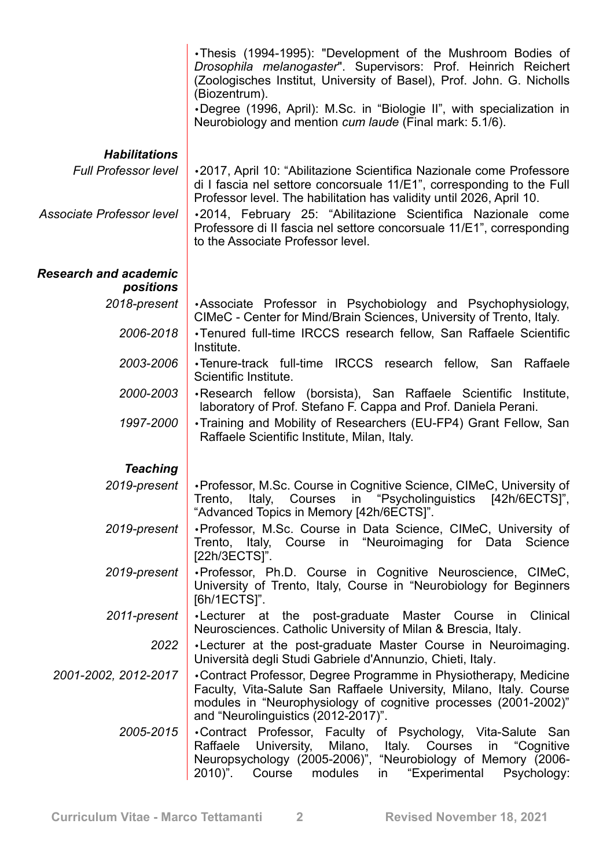|                                                     | ·Thesis (1994-1995): "Development of the Mushroom Bodies of<br>Drosophila melanogaster". Supervisors: Prof. Heinrich Reichert<br>(Zoologisches Institut, University of Basel), Prof. John. G. Nicholls<br>(Biozentrum).<br>•Degree (1996, April): M.Sc. in "Biologie II", with specialization in<br>Neurobiology and mention cum laude (Final mark: 5.1/6). |
|-----------------------------------------------------|-------------------------------------------------------------------------------------------------------------------------------------------------------------------------------------------------------------------------------------------------------------------------------------------------------------------------------------------------------------|
|                                                     |                                                                                                                                                                                                                                                                                                                                                             |
| <b>Habilitations</b><br><b>Full Professor level</b> | •2017, April 10: "Abilitazione Scientifica Nazionale come Professore                                                                                                                                                                                                                                                                                        |
|                                                     | di I fascia nel settore concorsuale 11/E1", corresponding to the Full<br>Professor level. The habilitation has validity until 2026, April 10.                                                                                                                                                                                                               |
| Associate Professor level                           | .2014, February 25: "Abilitazione Scientifica Nazionale come<br>Professore di II fascia nel settore concorsuale 11/E1", corresponding<br>to the Associate Professor level.                                                                                                                                                                                  |
| <b>Research and academic</b><br>positions           |                                                                                                                                                                                                                                                                                                                                                             |
| 2018-present                                        | •Associate Professor in Psychobiology and Psychophysiology,<br>CIMeC - Center for Mind/Brain Sciences, University of Trento, Italy.                                                                                                                                                                                                                         |
| 2006-2018                                           | •Tenured full-time IRCCS research fellow, San Raffaele Scientific<br>Institute.                                                                                                                                                                                                                                                                             |
| 2003-2006                                           | •Tenure-track full-time IRCCS research fellow, San Raffaele<br>Scientific Institute.                                                                                                                                                                                                                                                                        |
| 2000-2003                                           | •Research fellow (borsista), San Raffaele Scientific Institute,<br>laboratory of Prof. Stefano F. Cappa and Prof. Daniela Perani.                                                                                                                                                                                                                           |
| 1997-2000                                           | •Training and Mobility of Researchers (EU-FP4) Grant Fellow, San<br>Raffaele Scientific Institute, Milan, Italy.                                                                                                                                                                                                                                            |
| <b>Teaching</b>                                     |                                                                                                                                                                                                                                                                                                                                                             |
| 2019-present                                        | • Professor, M.Sc. Course in Cognitive Science, CIMeC, University of<br>"Psycholinguistics<br>$[42h/6ECTS]$ ",<br>Trento,<br>Italy,<br>Courses<br>in<br>"Advanced Topics in Memory [42h/6ECTS]".                                                                                                                                                            |
| 2019-present                                        | •Professor, M.Sc. Course in Data Science, CIMeC, University of<br>Trento, Italy, Course in "Neuroimaging for Data Science<br>[22h/3ECTS]".                                                                                                                                                                                                                  |
| 2019-present                                        | .Professor, Ph.D. Course in Cognitive Neuroscience, CIMeC,<br>University of Trento, Italy, Course in "Neurobiology for Beginners<br>[6h/1ECTS]".                                                                                                                                                                                                            |
| 2011-present                                        | •Lecturer at the post-graduate Master Course in Clinical<br>Neurosciences. Catholic University of Milan & Brescia, Italy.                                                                                                                                                                                                                                   |
| 2022                                                | . Lecturer at the post-graduate Master Course in Neuroimaging.<br>Università degli Studi Gabriele d'Annunzio, Chieti, Italy.                                                                                                                                                                                                                                |
| 2001-2002, 2012-2017                                | •Contract Professor, Degree Programme in Physiotherapy, Medicine<br>Faculty, Vita-Salute San Raffaele University, Milano, Italy. Course<br>modules in "Neurophysiology of cognitive processes (2001-2002)"<br>and "Neurolinguistics (2012-2017)".                                                                                                           |
| 2005-2015                                           | .Contract Professor, Faculty of Psychology, Vita-Salute San<br>Raffaele<br>University, Milano, Italy. Courses<br>in "Cognitive<br>Neuropsychology (2005-2006)", "Neurobiology of Memory (2006-<br>"Experimental<br>2010)". Course<br>modules<br>Psychology:<br>in l                                                                                         |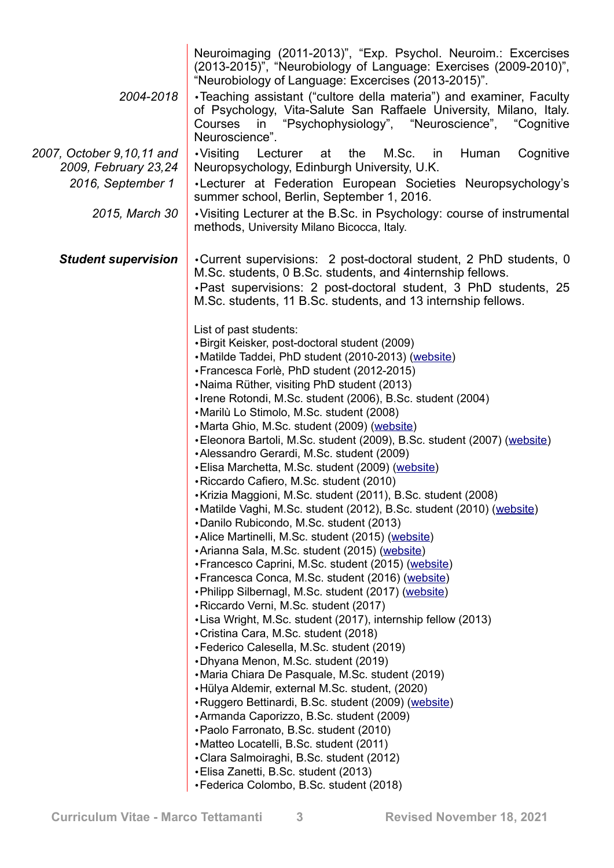| Neuroimaging (2011-2013)", "Exp. Psychol. Neuroim.: Excercises<br>(2013-2015)", "Neurobiology of Language: Exercises (2009-2010)",<br>"Neurobiology of Language: Excercises (2013-2015)".                                                                                                                                                                                                                                                                                                                                                                                                                                                                                                                                                                                                                                                                                                                                                                                                                                                                                                                                                                                                                                                                                                                                                                                                                                                                                                                                                                                                                                                                                                                    |
|--------------------------------------------------------------------------------------------------------------------------------------------------------------------------------------------------------------------------------------------------------------------------------------------------------------------------------------------------------------------------------------------------------------------------------------------------------------------------------------------------------------------------------------------------------------------------------------------------------------------------------------------------------------------------------------------------------------------------------------------------------------------------------------------------------------------------------------------------------------------------------------------------------------------------------------------------------------------------------------------------------------------------------------------------------------------------------------------------------------------------------------------------------------------------------------------------------------------------------------------------------------------------------------------------------------------------------------------------------------------------------------------------------------------------------------------------------------------------------------------------------------------------------------------------------------------------------------------------------------------------------------------------------------------------------------------------------------|
| •Teaching assistant ("cultore della materia") and examiner, Faculty<br>of Psychology, Vita-Salute San Raffaele University, Milano, Italy.<br>in "Psychophysiology", "Neuroscience", "Cognitive<br>Courses<br>Neuroscience".                                                                                                                                                                                                                                                                                                                                                                                                                                                                                                                                                                                                                                                                                                                                                                                                                                                                                                                                                                                                                                                                                                                                                                                                                                                                                                                                                                                                                                                                                  |
| M.Sc.<br>Cognitive<br>•Visiting<br>Lecturer<br>the<br>Human<br>at<br>in<br>Neuropsychology, Edinburgh University, U.K.                                                                                                                                                                                                                                                                                                                                                                                                                                                                                                                                                                                                                                                                                                                                                                                                                                                                                                                                                                                                                                                                                                                                                                                                                                                                                                                                                                                                                                                                                                                                                                                       |
| •Lecturer at Federation European Societies Neuropsychology's                                                                                                                                                                                                                                                                                                                                                                                                                                                                                                                                                                                                                                                                                                                                                                                                                                                                                                                                                                                                                                                                                                                                                                                                                                                                                                                                                                                                                                                                                                                                                                                                                                                 |
| summer school, Berlin, September 1, 2016.<br>• Visiting Lecturer at the B.Sc. in Psychology: course of instrumental<br>methods, University Milano Bicocca, Italy.                                                                                                                                                                                                                                                                                                                                                                                                                                                                                                                                                                                                                                                                                                                                                                                                                                                                                                                                                                                                                                                                                                                                                                                                                                                                                                                                                                                                                                                                                                                                            |
| •Current supervisions: 2 post-doctoral student, 2 PhD students, 0<br>M.Sc. students, 0 B.Sc. students, and 4 internship fellows.<br>. Past supervisions: 2 post-doctoral student, 3 PhD students, 25<br>M.Sc. students, 11 B.Sc. students, and 13 internship fellows.                                                                                                                                                                                                                                                                                                                                                                                                                                                                                                                                                                                                                                                                                                                                                                                                                                                                                                                                                                                                                                                                                                                                                                                                                                                                                                                                                                                                                                        |
| List of past students:<br>•Birgit Keisker, post-doctoral student (2009)<br>•Matilde Taddei, PhD student (2010-2013) (website)<br>• Francesca Forlè, PhD student (2012-2015)<br>•Naima Rüther, visiting PhD student (2013)<br>• Irene Rotondi, M.Sc. student (2006), B.Sc. student (2004)<br>•Marilù Lo Stimolo, M.Sc. student (2008)<br>• Marta Ghio, M.Sc. student (2009) (website)<br>• Eleonora Bartoli, M.Sc. student (2009), B.Sc. student (2007) (website)<br>•Alessandro Gerardi, M.Sc. student (2009)<br>• Elisa Marchetta, M.Sc. student (2009) (website)<br>• Riccardo Cafiero, M.Sc. student (2010)<br>• Krizia Maggioni, M.Sc. student (2011), B.Sc. student (2008)<br>• Matilde Vaghi, M.Sc. student (2012), B.Sc. student (2010) (website)<br>•Danilo Rubicondo, M.Sc. student (2013)<br>•Alice Martinelli, M.Sc. student (2015) (website)<br>• Arianna Sala, M.Sc. student (2015) (website)<br>• Francesco Caprini, M.Sc. student (2015) (website)<br>• Francesca Conca, M.Sc. student (2016) (website)<br>. Philipp Silbernagl, M.Sc. student (2017) (website)<br>• Riccardo Verni, M.Sc. student (2017)<br>•Lisa Wright, M.Sc. student (2017), internship fellow (2013)<br>•Cristina Cara, M.Sc. student (2018)<br>• Federico Calesella, M.Sc. student (2019)<br>• Dhyana Menon, M.Sc. student (2019)<br>• Maria Chiara De Pasquale, M.Sc. student (2019)<br>•Hülya Aldemir, external M.Sc. student, (2020)<br>• Ruggero Bettinardi, B.Sc. student (2009) (website)<br>•Armanda Caporizzo, B.Sc. student (2009)<br>• Paolo Farronato, B.Sc. student (2010)<br>• Matteo Locatelli, B.Sc. student (2011)<br>•Clara Salmoiraghi, B.Sc. student (2012)<br>• Elisa Zanetti, B.Sc. student (2013) |
|                                                                                                                                                                                                                                                                                                                                                                                                                                                                                                                                                                                                                                                                                                                                                                                                                                                                                                                                                                                                                                                                                                                                                                                                                                                                                                                                                                                                                                                                                                                                                                                                                                                                                                              |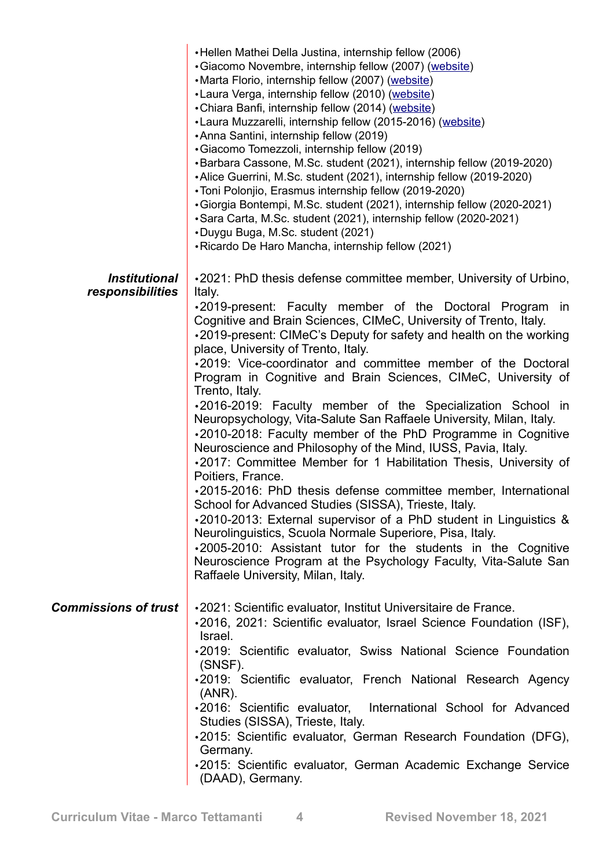|                             | •Hellen Mathei Della Justina, internship fellow (2006)<br>• Giacomo Novembre, internship fellow (2007) (website)<br>•Marta Florio, internship fellow (2007) (website)<br>• Laura Verga, internship fellow (2010) (website)<br>• Chiara Banfi, internship fellow (2014) (website)<br>•Laura Muzzarelli, internship fellow (2015-2016) (website)<br>•Anna Santini, internship fellow (2019)<br>·Giacomo Tomezzoli, internship fellow (2019)<br>•Barbara Cassone, M.Sc. student (2021), internship fellow (2019-2020)<br>•Alice Guerrini, M.Sc. student (2021), internship fellow (2019-2020)<br>•Toni Polonjio, Erasmus internship fellow (2019-2020)<br>•Giorgia Bontempi, M.Sc. student (2021), internship fellow (2020-2021)<br>•Sara Carta, M.Sc. student (2021), internship fellow (2020-2021)<br>•Duygu Buga, M.Sc. student (2021)<br>• Ricardo De Haro Mancha, internship fellow (2021)                                                                                                                                                                                                                                                                                                               |
|-----------------------------|------------------------------------------------------------------------------------------------------------------------------------------------------------------------------------------------------------------------------------------------------------------------------------------------------------------------------------------------------------------------------------------------------------------------------------------------------------------------------------------------------------------------------------------------------------------------------------------------------------------------------------------------------------------------------------------------------------------------------------------------------------------------------------------------------------------------------------------------------------------------------------------------------------------------------------------------------------------------------------------------------------------------------------------------------------------------------------------------------------------------------------------------------------------------------------------------------------|
| <b>Institutional</b>        | •2021: PhD thesis defense committee member, University of Urbino,                                                                                                                                                                                                                                                                                                                                                                                                                                                                                                                                                                                                                                                                                                                                                                                                                                                                                                                                                                                                                                                                                                                                          |
| responsibilities            | Italy.<br>.2019-present: Faculty member of the Doctoral Program in<br>Cognitive and Brain Sciences, CIMeC, University of Trento, Italy.<br>•2019-present: CIMeC's Deputy for safety and health on the working<br>place, University of Trento, Italy.<br>.2019: Vice-coordinator and committee member of the Doctoral<br>Program in Cognitive and Brain Sciences, CIMeC, University of<br>Trento, Italy.<br>.2016-2019: Faculty member of the Specialization School in<br>Neuropsychology, Vita-Salute San Raffaele University, Milan, Italy.<br>.2010-2018: Faculty member of the PhD Programme in Cognitive<br>Neuroscience and Philosophy of the Mind, IUSS, Pavia, Italy.<br>.2017: Committee Member for 1 Habilitation Thesis, University of<br>Poitiers, France.<br>.2015-2016: PhD thesis defense committee member, International<br>School for Advanced Studies (SISSA), Trieste, Italy.<br>.2010-2013: External supervisor of a PhD student in Linguistics &<br>Neurolinguistics, Scuola Normale Superiore, Pisa, Italy.<br>.2005-2010: Assistant tutor for the students in the Cognitive<br>Neuroscience Program at the Psychology Faculty, Vita-Salute San<br>Raffaele University, Milan, Italy. |
| <b>Commissions of trust</b> | •2021: Scientific evaluator, Institut Universitaire de France.<br>•2016, 2021: Scientific evaluator, Israel Science Foundation (ISF),<br>Israel.<br>.2019: Scientific evaluator, Swiss National Science Foundation                                                                                                                                                                                                                                                                                                                                                                                                                                                                                                                                                                                                                                                                                                                                                                                                                                                                                                                                                                                         |
|                             | (SNSF).<br>.2019: Scientific evaluator, French National Research Agency                                                                                                                                                                                                                                                                                                                                                                                                                                                                                                                                                                                                                                                                                                                                                                                                                                                                                                                                                                                                                                                                                                                                    |
|                             | $(ANR)$ .<br>.2016: Scientific evaluator, International School for Advanced                                                                                                                                                                                                                                                                                                                                                                                                                                                                                                                                                                                                                                                                                                                                                                                                                                                                                                                                                                                                                                                                                                                                |
|                             | Studies (SISSA), Trieste, Italy.<br>•2015: Scientific evaluator, German Research Foundation (DFG),                                                                                                                                                                                                                                                                                                                                                                                                                                                                                                                                                                                                                                                                                                                                                                                                                                                                                                                                                                                                                                                                                                         |
|                             | Germany.<br>.2015: Scientific evaluator, German Academic Exchange Service                                                                                                                                                                                                                                                                                                                                                                                                                                                                                                                                                                                                                                                                                                                                                                                                                                                                                                                                                                                                                                                                                                                                  |
|                             | (DAAD), Germany.                                                                                                                                                                                                                                                                                                                                                                                                                                                                                                                                                                                                                                                                                                                                                                                                                                                                                                                                                                                                                                                                                                                                                                                           |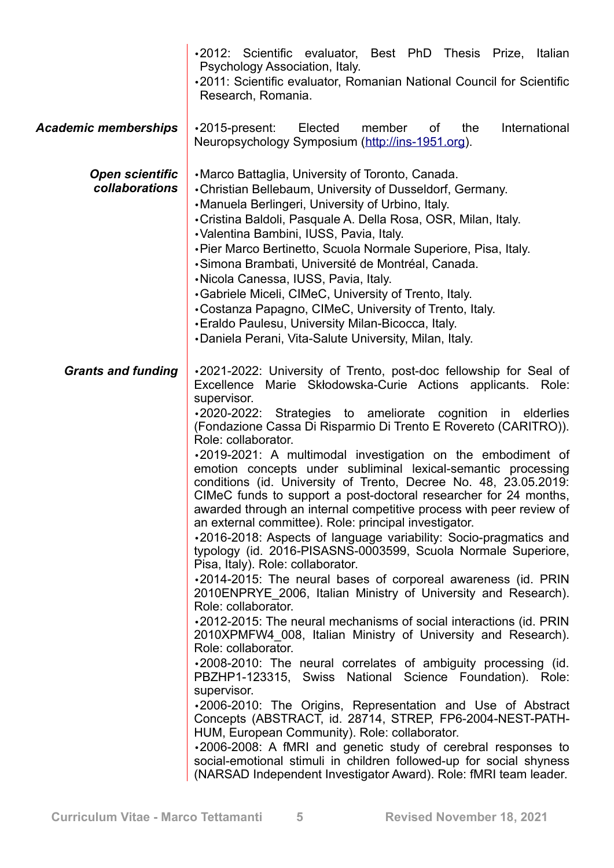|                                          | .2012: Scientific evaluator, Best PhD Thesis Prize,<br>Italian<br>Psychology Association, Italy.                                                                                                                                                                                                                                                                                                                                                                                                                                                                                                                                                                                                                                                                                                                                                                                                                                                                                                                                                                                                                                                                                                                                                                                                                                                                                                                                                                                                                                                                                                                                                                                                                                                                |
|------------------------------------------|-----------------------------------------------------------------------------------------------------------------------------------------------------------------------------------------------------------------------------------------------------------------------------------------------------------------------------------------------------------------------------------------------------------------------------------------------------------------------------------------------------------------------------------------------------------------------------------------------------------------------------------------------------------------------------------------------------------------------------------------------------------------------------------------------------------------------------------------------------------------------------------------------------------------------------------------------------------------------------------------------------------------------------------------------------------------------------------------------------------------------------------------------------------------------------------------------------------------------------------------------------------------------------------------------------------------------------------------------------------------------------------------------------------------------------------------------------------------------------------------------------------------------------------------------------------------------------------------------------------------------------------------------------------------------------------------------------------------------------------------------------------------|
|                                          | .2011: Scientific evaluator, Romanian National Council for Scientific<br>Research, Romania.                                                                                                                                                                                                                                                                                                                                                                                                                                                                                                                                                                                                                                                                                                                                                                                                                                                                                                                                                                                                                                                                                                                                                                                                                                                                                                                                                                                                                                                                                                                                                                                                                                                                     |
| <b>Academic memberships</b>              | International<br>•2015-present:<br>Elected<br>member<br>the<br>of<br>Neuropsychology Symposium (http://ins-1951.org).                                                                                                                                                                                                                                                                                                                                                                                                                                                                                                                                                                                                                                                                                                                                                                                                                                                                                                                                                                                                                                                                                                                                                                                                                                                                                                                                                                                                                                                                                                                                                                                                                                           |
| <b>Open scientific</b><br>collaborations | •Marco Battaglia, University of Toronto, Canada.<br>• Christian Bellebaum, University of Dusseldorf, Germany.<br>•Manuela Berlingeri, University of Urbino, Italy.<br>• Cristina Baldoli, Pasquale A. Della Rosa, OSR, Milan, Italy.<br>•Valentina Bambini, IUSS, Pavia, Italy.<br>• Pier Marco Bertinetto, Scuola Normale Superiore, Pisa, Italy.<br>·Simona Brambati, Université de Montréal, Canada.<br>·Nicola Canessa, IUSS, Pavia, Italy.<br>•Gabriele Miceli, CIMeC, University of Trento, Italy.<br>•Costanza Papagno, CIMeC, University of Trento, Italy.<br>• Eraldo Paulesu, University Milan-Bicocca, Italy.<br>•Daniela Perani, Vita-Salute University, Milan, Italy.                                                                                                                                                                                                                                                                                                                                                                                                                                                                                                                                                                                                                                                                                                                                                                                                                                                                                                                                                                                                                                                                              |
| <b>Grants and funding</b>                | .2021-2022: University of Trento, post-doc fellowship for Seal of<br>Excellence Marie Skłodowska-Curie Actions applicants. Role:<br>supervisor.<br>.2020-2022: Strategies to ameliorate cognition<br>in<br>elderlies<br>(Fondazione Cassa Di Risparmio Di Trento E Rovereto (CARITRO)).<br>Role: collaborator.<br>.2019-2021: A multimodal investigation on the embodiment of<br>emotion concepts under subliminal lexical-semantic processing<br>conditions (id. University of Trento, Decree No. 48, 23.05.2019:<br>CIMeC funds to support a post-doctoral researcher for 24 months,<br>awarded through an internal competitive process with peer review of<br>an external committee). Role: principal investigator.<br>.2016-2018: Aspects of language variability: Socio-pragmatics and<br>typology (id. 2016-PISASNS-0003599, Scuola Normale Superiore,<br>Pisa, Italy). Role: collaborator.<br>.2014-2015: The neural bases of corporeal awareness (id. PRIN<br>2010ENPRYE 2006, Italian Ministry of University and Research).<br>Role: collaborator.<br>.2012-2015: The neural mechanisms of social interactions (id. PRIN<br>2010XPMFW4 008, Italian Ministry of University and Research).<br>Role: collaborator.<br>.2008-2010: The neural correlates of ambiguity processing (id.<br>PBZHP1-123315, Swiss National Science Foundation). Role:<br>supervisor.<br>.2006-2010: The Origins, Representation and Use of Abstract<br>Concepts (ABSTRACT, id. 28714, STREP, FP6-2004-NEST-PATH-<br>HUM, European Community). Role: collaborator.<br>.2006-2008: A fMRI and genetic study of cerebral responses to<br>social-emotional stimuli in children followed-up for social shyness<br>(NARSAD Independent Investigator Award). Role: fMRI team leader. |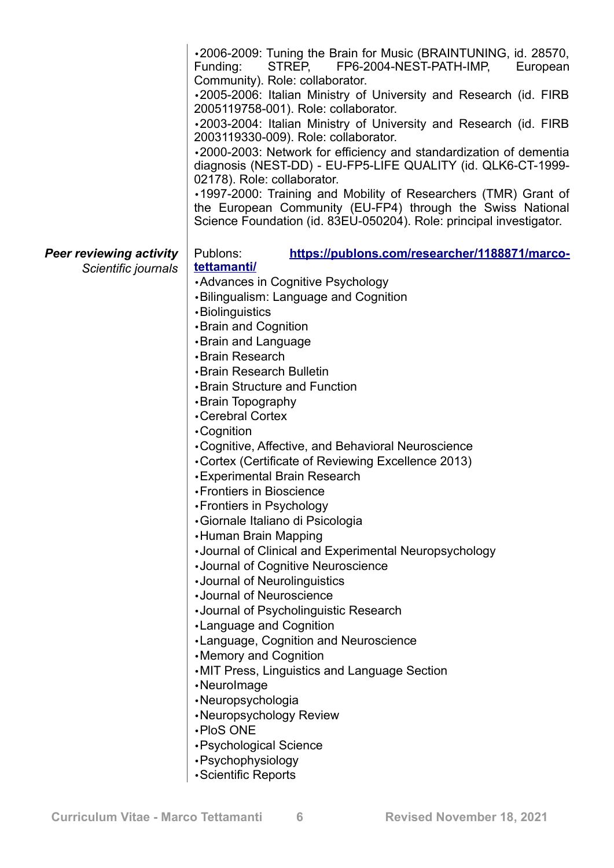|                                | .2006-2009: Tuning the Brain for Music (BRAINTUNING, id. 28570,<br>STREP, FP6-2004-NEST-PATH-IMP,<br>Funding:<br>European<br>Community). Role: collaborator.<br>.2005-2006: Italian Ministry of University and Research (id. FIRB<br>2005119758-001). Role: collaborator.<br>.2003-2004: Italian Ministry of University and Research (id. FIRB<br>2003119330-009). Role: collaborator.<br>.2000-2003: Network for efficiency and standardization of dementia<br>diagnosis (NEST-DD) - EU-FP5-LIFE QUALITY (id. QLK6-CT-1999-<br>02178). Role: collaborator.<br>•1997-2000: Training and Mobility of Researchers (TMR) Grant of<br>the European Community (EU-FP4) through the Swiss National<br>Science Foundation (id. 83EU-050204). Role: principal investigator. |
|--------------------------------|---------------------------------------------------------------------------------------------------------------------------------------------------------------------------------------------------------------------------------------------------------------------------------------------------------------------------------------------------------------------------------------------------------------------------------------------------------------------------------------------------------------------------------------------------------------------------------------------------------------------------------------------------------------------------------------------------------------------------------------------------------------------|
| <b>Peer reviewing activity</b> | Publons:<br>https://publons.com/researcher/1188871/marco-                                                                                                                                                                                                                                                                                                                                                                                                                                                                                                                                                                                                                                                                                                           |
| Scientific journals            | tettamanti/                                                                                                                                                                                                                                                                                                                                                                                                                                                                                                                                                                                                                                                                                                                                                         |
|                                | •Advances in Cognitive Psychology<br>•Bilingualism: Language and Cognition                                                                                                                                                                                                                                                                                                                                                                                                                                                                                                                                                                                                                                                                                          |
|                                | •Biolinguistics                                                                                                                                                                                                                                                                                                                                                                                                                                                                                                                                                                                                                                                                                                                                                     |
|                                | <b>.</b> Brain and Cognition                                                                                                                                                                                                                                                                                                                                                                                                                                                                                                                                                                                                                                                                                                                                        |
|                                | <b>·Brain and Language</b>                                                                                                                                                                                                                                                                                                                                                                                                                                                                                                                                                                                                                                                                                                                                          |
|                                | •Brain Research                                                                                                                                                                                                                                                                                                                                                                                                                                                                                                                                                                                                                                                                                                                                                     |
|                                | •Brain Research Bulletin                                                                                                                                                                                                                                                                                                                                                                                                                                                                                                                                                                                                                                                                                                                                            |
|                                | <b>.</b> Brain Structure and Function                                                                                                                                                                                                                                                                                                                                                                                                                                                                                                                                                                                                                                                                                                                               |
|                                | •Brain Topography                                                                                                                                                                                                                                                                                                                                                                                                                                                                                                                                                                                                                                                                                                                                                   |
|                                | •Cerebral Cortex                                                                                                                                                                                                                                                                                                                                                                                                                                                                                                                                                                                                                                                                                                                                                    |
|                                | •Cognition                                                                                                                                                                                                                                                                                                                                                                                                                                                                                                                                                                                                                                                                                                                                                          |
|                                | • Cognitive, Affective, and Behavioral Neuroscience                                                                                                                                                                                                                                                                                                                                                                                                                                                                                                                                                                                                                                                                                                                 |
|                                | •Cortex (Certificate of Reviewing Excellence 2013)                                                                                                                                                                                                                                                                                                                                                                                                                                                                                                                                                                                                                                                                                                                  |
|                                | <b>.</b> Experimental Brain Research<br>• Frontiers in Bioscience                                                                                                                                                                                                                                                                                                                                                                                                                                                                                                                                                                                                                                                                                                   |
|                                | •Frontiers in Psychology                                                                                                                                                                                                                                                                                                                                                                                                                                                                                                                                                                                                                                                                                                                                            |
|                                | •Giornale Italiano di Psicologia                                                                                                                                                                                                                                                                                                                                                                                                                                                                                                                                                                                                                                                                                                                                    |
|                                | •Human Brain Mapping                                                                                                                                                                                                                                                                                                                                                                                                                                                                                                                                                                                                                                                                                                                                                |
|                                | •Journal of Clinical and Experimental Neuropsychology                                                                                                                                                                                                                                                                                                                                                                                                                                                                                                                                                                                                                                                                                                               |
|                                | •Journal of Cognitive Neuroscience                                                                                                                                                                                                                                                                                                                                                                                                                                                                                                                                                                                                                                                                                                                                  |
|                                | •Journal of Neurolinguistics                                                                                                                                                                                                                                                                                                                                                                                                                                                                                                                                                                                                                                                                                                                                        |
|                                | •Journal of Neuroscience                                                                                                                                                                                                                                                                                                                                                                                                                                                                                                                                                                                                                                                                                                                                            |
|                                | •Journal of Psycholinguistic Research                                                                                                                                                                                                                                                                                                                                                                                                                                                                                                                                                                                                                                                                                                                               |
|                                | •Language and Cognition                                                                                                                                                                                                                                                                                                                                                                                                                                                                                                                                                                                                                                                                                                                                             |
|                                | •Language, Cognition and Neuroscience                                                                                                                                                                                                                                                                                                                                                                                                                                                                                                                                                                                                                                                                                                                               |
|                                | •Memory and Cognition                                                                                                                                                                                                                                                                                                                                                                                                                                                                                                                                                                                                                                                                                                                                               |
|                                | •MIT Press, Linguistics and Language Section                                                                                                                                                                                                                                                                                                                                                                                                                                                                                                                                                                                                                                                                                                                        |
|                                | ·Neurolmage                                                                                                                                                                                                                                                                                                                                                                                                                                                                                                                                                                                                                                                                                                                                                         |
|                                | ·Neuropsychologia<br>•Neuropsychology Review                                                                                                                                                                                                                                                                                                                                                                                                                                                                                                                                                                                                                                                                                                                        |
|                                | •PloS ONE                                                                                                                                                                                                                                                                                                                                                                                                                                                                                                                                                                                                                                                                                                                                                           |
|                                | • Psychological Science                                                                                                                                                                                                                                                                                                                                                                                                                                                                                                                                                                                                                                                                                                                                             |
|                                | ·Psychophysiology                                                                                                                                                                                                                                                                                                                                                                                                                                                                                                                                                                                                                                                                                                                                                   |
|                                | • Scientific Reports                                                                                                                                                                                                                                                                                                                                                                                                                                                                                                                                                                                                                                                                                                                                                |
|                                |                                                                                                                                                                                                                                                                                                                                                                                                                                                                                                                                                                                                                                                                                                                                                                     |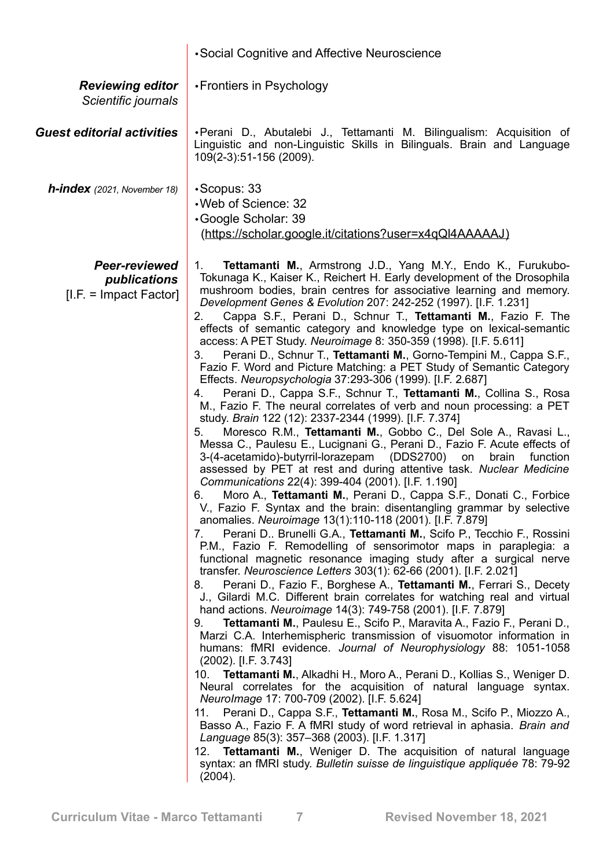|                                                                  | • Social Cognitive and Affective Neuroscience                                                                                                                                                                                                                                                                                                                                                                                                                                                                                                                                                                                                                                                                                                                                                                                                                                                                                                                                                                                                                                                                                                                                                                                                                                                                                                                                                                                                                                                                                                                                                                                                                                                                                                                                                                                                                                                                                                                                                                                                                                                                                                                                                                                                                                                                                                                                                                                                                                                                                                                                                                                                                                                                                                                                                                                                                                         |
|------------------------------------------------------------------|---------------------------------------------------------------------------------------------------------------------------------------------------------------------------------------------------------------------------------------------------------------------------------------------------------------------------------------------------------------------------------------------------------------------------------------------------------------------------------------------------------------------------------------------------------------------------------------------------------------------------------------------------------------------------------------------------------------------------------------------------------------------------------------------------------------------------------------------------------------------------------------------------------------------------------------------------------------------------------------------------------------------------------------------------------------------------------------------------------------------------------------------------------------------------------------------------------------------------------------------------------------------------------------------------------------------------------------------------------------------------------------------------------------------------------------------------------------------------------------------------------------------------------------------------------------------------------------------------------------------------------------------------------------------------------------------------------------------------------------------------------------------------------------------------------------------------------------------------------------------------------------------------------------------------------------------------------------------------------------------------------------------------------------------------------------------------------------------------------------------------------------------------------------------------------------------------------------------------------------------------------------------------------------------------------------------------------------------------------------------------------------------------------------------------------------------------------------------------------------------------------------------------------------------------------------------------------------------------------------------------------------------------------------------------------------------------------------------------------------------------------------------------------------------------------------------------------------------------------------------------------------|
| <b>Reviewing editor</b><br>Scientific journals                   | •Frontiers in Psychology                                                                                                                                                                                                                                                                                                                                                                                                                                                                                                                                                                                                                                                                                                                                                                                                                                                                                                                                                                                                                                                                                                                                                                                                                                                                                                                                                                                                                                                                                                                                                                                                                                                                                                                                                                                                                                                                                                                                                                                                                                                                                                                                                                                                                                                                                                                                                                                                                                                                                                                                                                                                                                                                                                                                                                                                                                                              |
| <b>Guest editorial activities</b>                                | •Perani D., Abutalebi J., Tettamanti M. Bilingualism: Acquisition of<br>Linguistic and non-Linguistic Skills in Bilinguals. Brain and Language<br>109(2-3):51-156 (2009).                                                                                                                                                                                                                                                                                                                                                                                                                                                                                                                                                                                                                                                                                                                                                                                                                                                                                                                                                                                                                                                                                                                                                                                                                                                                                                                                                                                                                                                                                                                                                                                                                                                                                                                                                                                                                                                                                                                                                                                                                                                                                                                                                                                                                                                                                                                                                                                                                                                                                                                                                                                                                                                                                                             |
| <b>h-index</b> (2021, November 18)                               | $\cdot$ Scopus: 33<br>•Web of Science: 32<br>Google Scholar: 39<br>(https://scholar.google.it/citations?user=x4qQl4AAAAAJ)                                                                                                                                                                                                                                                                                                                                                                                                                                                                                                                                                                                                                                                                                                                                                                                                                                                                                                                                                                                                                                                                                                                                                                                                                                                                                                                                                                                                                                                                                                                                                                                                                                                                                                                                                                                                                                                                                                                                                                                                                                                                                                                                                                                                                                                                                                                                                                                                                                                                                                                                                                                                                                                                                                                                                            |
| <b>Peer-reviewed</b><br>publications<br>$[I.F. = Impact Factor]$ | Tettamanti M., Armstrong J.D., Yang M.Y., Endo K., Furukubo-<br>1.<br>Tokunaga K., Kaiser K., Reichert H. Early development of the Drosophila<br>mushroom bodies, brain centres for associative learning and memory.<br>Development Genes & Evolution 207: 242-252 (1997). [I.F. 1.231]<br>Cappa S.F., Perani D., Schnur T., Tettamanti M., Fazio F. The<br>2.<br>effects of semantic category and knowledge type on lexical-semantic<br>access: A PET Study. Neuroimage 8: 350-359 (1998). [I.F. 5.611]<br>Perani D., Schnur T., Tettamanti M., Gorno-Tempini M., Cappa S.F.,<br>3.<br>Fazio F. Word and Picture Matching: a PET Study of Semantic Category<br>Effects. Neuropsychologia 37:293-306 (1999). [I.F. 2.687]<br>Perani D., Cappa S.F., Schnur T., Tettamanti M., Collina S., Rosa<br>4.<br>M., Fazio F. The neural correlates of verb and noun processing: a PET<br>study. Brain 122 (12): 2337-2344 (1999). [I.F. 7.374]<br>Moresco R.M., Tettamanti M., Gobbo C., Del Sole A., Ravasi L.,<br>5.<br>Messa C., Paulesu E., Lucignani G., Perani D., Fazio F. Acute effects of<br>3-(4-acetamido)-butyrril-lorazepam (DDS2700)<br>on<br>brain<br>function<br>assessed by PET at rest and during attentive task. Nuclear Medicine<br>Communications 22(4): 399-404 (2001). [I.F. 1.190]<br>Moro A., Tettamanti M., Perani D., Cappa S.F., Donati C., Forbice<br>6.<br>V., Fazio F. Syntax and the brain: disentangling grammar by selective<br>anomalies. Neuroimage 13(1):110-118 (2001). [I.F. 7.879]<br>Perani D Brunelli G.A., Tettamanti M., Scifo P., Tecchio F., Rossini<br>7.<br>P.M., Fazio F. Remodelling of sensorimotor maps in paraplegia: a<br>functional magnetic resonance imaging study after a surgical nerve<br>transfer. Neuroscience Letters 303(1): 62-66 (2001). [I.F. 2.021]<br>Perani D., Fazio F., Borghese A., Tettamanti M., Ferrari S., Decety<br>8.<br>J., Gilardi M.C. Different brain correlates for watching real and virtual<br>hand actions. Neuroimage 14(3): 749-758 (2001). [I.F. 7.879]<br>Tettamanti M., Paulesu E., Scifo P., Maravita A., Fazio F., Perani D.,<br>9.<br>Marzi C.A. Interhemispheric transmission of visuomotor information in<br>humans: fMRI evidence. Journal of Neurophysiology 88: 1051-1058<br>$(2002)$ . [I.F. 3.743]<br>Tettamanti M., Alkadhi H., Moro A., Perani D., Kollias S., Weniger D.<br>10.<br>Neural correlates for the acquisition of natural language syntax.<br>Neurolmage 17: 700-709 (2002). [I.F. 5.624]<br>Perani D., Cappa S.F., Tettamanti M., Rosa M., Scifo P., Miozzo A.,<br>11.<br>Basso A., Fazio F. A fMRI study of word retrieval in aphasia. Brain and<br>Language 85(3): 357-368 (2003). [I.F. 1.317]<br><b>Tettamanti M., Weniger D. The acquisition of natural language</b><br>12.<br>syntax: an fMRI study. Bulletin suisse de linguistique appliquée 78: 79-92<br>(2004). |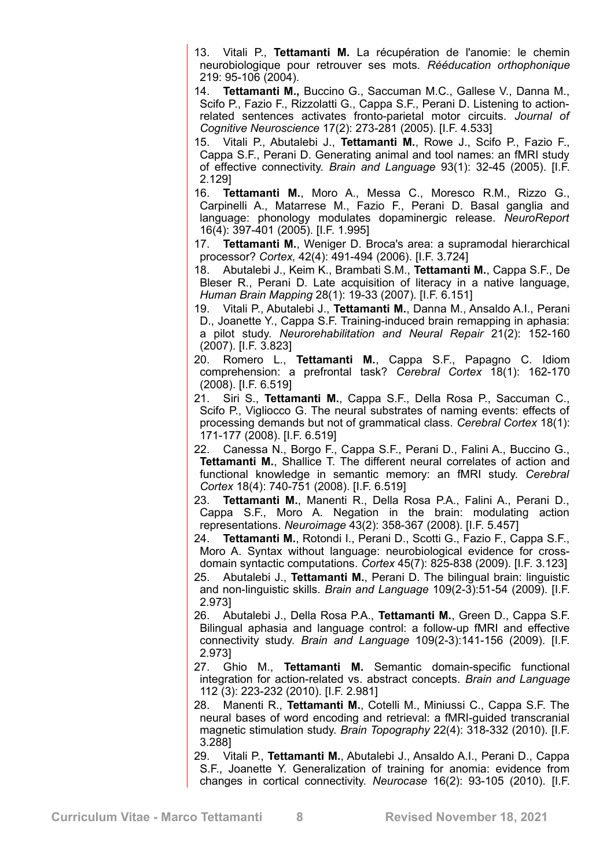13. Vitali P., **Tettamanti M.** La récupération de l'anomie: le chemin neurobiologique pour retrouver ses mots. *Rééducation orthophonique* 219: 95-106 (2004).

14. **Tettamanti M.,** Buccino G., Saccuman M.C., Gallese V., Danna M., Scifo P., Fazio F., Rizzolatti G., Cappa S.F., Perani D. Listening to actionrelated sentences activates fronto-parietal motor circuits. *Journal of Cognitive Neuroscience* 17(2): 273-281 (2005). [I.F. 4.533]

15. Vitali P., Abutalebi J., **Tettamanti M.**, Rowe J., Scifo P., Fazio F., Cappa S.F., Perani D. Generating animal and tool names: an fMRI study of effective connectivity. *Brain and Language* 93(1): 32-45 (2005). [I.F. 2.129]

16. **Tettamanti M.**, Moro A., Messa C., Moresco R.M., Rizzo G., Carpinelli A., Matarrese M., Fazio F., Perani D. Basal ganglia and language: phonology modulates dopaminergic release. *NeuroReport* 16(4): 397-401 (2005)*.* [I.F. 1.995]

17. **Tettamanti M.**, Weniger D. Broca's area: a supramodal hierarchical processor? *Cortex,* 42(4): 491-494 (2006). [I.F. 3.724]

18. Abutalebi J., Keim K., Brambati S.M., **Tettamanti M.**, Cappa S.F., De Bleser R., Perani D. Late acquisition of literacy in a native language, *Human Brain Mapping* 28(1): 19-33 (2007). [I.F. 6.151]

19. Vitali P., Abutalebi J., **Tettamanti M.**, Danna M., Ansaldo A.I., Perani D., Joanette Y., Cappa S.F. Training-induced brain remapping in aphasia: a pilot study. *Neurorehabilitation and Neural Repair* 21(2): 152-160 (2007). [I.F. 3.823]

20. Romero L., **Tettamanti M.**, Cappa S.F., Papagno C. Idiom comprehension: a prefrontal task? *Cerebral Cortex* 18(1): 162-170 (2008). [I.F. 6.519]

21. Siri S., **Tettamanti M.**, Cappa S.F., Della Rosa P., Saccuman C., Scifo P., Vigliocco G. The neural substrates of naming events: effects of processing demands but not of grammatical class. *Cerebral Cortex* 18(1): 171-177 (2008). [I.F. 6.519]

22. Canessa N., Borgo F., Cappa S.F., Perani D., Falini A., Buccino G., **Tettamanti M.**, Shallice T. The different neural correlates of action and functional knowledge in semantic memory: an fMRI study. *Cerebral Cortex* 18(4): 740-751 (2008). [I.F. 6.519]

23. **Tettamanti M.**, Manenti R., Della Rosa P.A., Falini A., Perani D., Cappa S.F., Moro A. Negation in the brain: modulating action representations. *Neuroimage* 43(2): 358-367 (2008). [I.F. 5.457]

24. **Tettamanti M.**, Rotondi I., Perani D., Scotti G., Fazio F., Cappa S.F., Moro A. Syntax without language: neurobiological evidence for crossdomain syntactic computations. *Cortex* 45(7): 825-838 (2009). [I.F. 3.123] 25. Abutalebi J., **Tettamanti M.**, Perani D. The bilingual brain: linguistic and non-linguistic skills. *Brain and Language* 109(2-3):51-54 (2009). [I.F. 2.973]

26. Abutalebi J., Della Rosa P.A., **Tettamanti M.**, Green D., Cappa S.F. Bilingual aphasia and language control: a follow-up fMRI and effective connectivity study. *Brain and Language* 109(2-3):141-156 (2009). [I.F. 2.973]

27. Ghio M., **Tettamanti M.** Semantic domain-specific functional integration for action-related vs. abstract concepts. *Brain and Language* 112 (3): 223-232 (2010). [I.F. 2.981]

28. Manenti R., **Tettamanti M.**, Cotelli M., Miniussi C., Cappa S.F. The neural bases of word encoding and retrieval: a fMRI-guided transcranial magnetic stimulation study. *Brain Topography* 22(4): 318-332 (2010). [I.F. 3.288]

29. Vitali P., **Tettamanti M.**, Abutalebi J., Ansaldo A.I., Perani D., Cappa S.F., Joanette Y. Generalization of training for anomia: evidence from changes in cortical connectivity. *Neurocase* 16(2): 93-105 (2010). [I.F.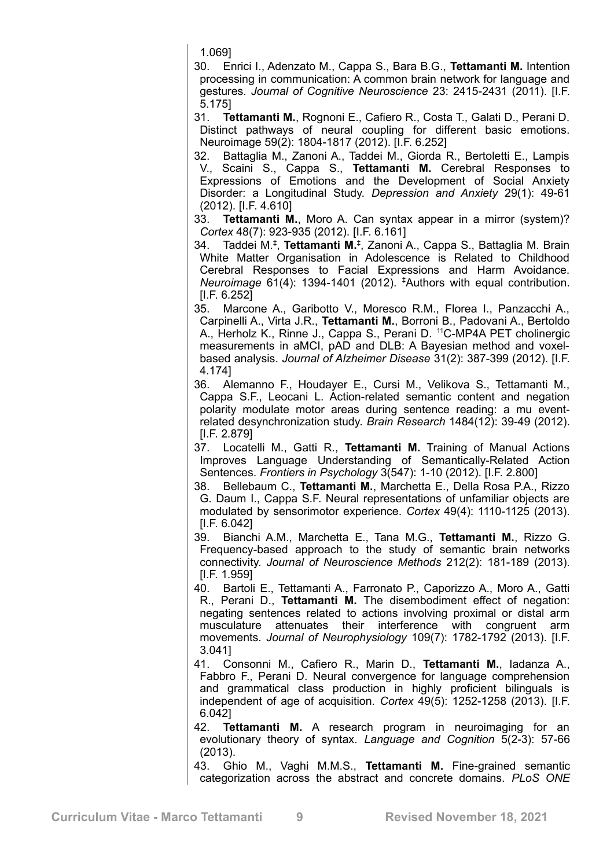1.069]

30. Enrici I., Adenzato M., Cappa S., Bara B.G., **Tettamanti M.** Intention processing in communication: A common brain network for language and gestures. *Journal of Cognitive Neuroscience* 23: 2415-2431 (2011). [I.F. 5.175]

31. **Tettamanti M.**, Rognoni E., Cafiero R., Costa T., Galati D., Perani D. Distinct pathways of neural coupling for different basic emotions. Neuroimage 59(2): 1804-1817 (2012). [I.F. 6.252]

32. Battaglia M., Zanoni A., Taddei M., Giorda R., Bertoletti E., Lampis V., Scaini S., Cappa S., **Tettamanti M.** Cerebral Responses to Expressions of Emotions and the Development of Social Anxiety Disorder: a Longitudinal Study. *Depression and Anxiety* 29(1): 49-61 (2012). [I.F. 4.610]

33. **Tettamanti M.**, Moro A. Can syntax appear in a mirror (system)? *Cortex* 48(7): 923-935 (2012). [I.F. 6.161]

34. Taddei M.‡ , **Tettamanti M.**‡ , Zanoni A., Cappa S., Battaglia M. Brain White Matter Organisation in Adolescence is Related to Childhood Cerebral Responses to Facial Expressions and Harm Avoidance. *Neuroimage* 61(4): 1394-1401 (2012). ‡Authors with equal contribution. [I.F. 6.252]

35. Marcone A., Garibotto V., Moresco R.M., Florea I., Panzacchi A., Carpinelli A., Virta J.R., **Tettamanti M.**, Borroni B., Padovani A., Bertoldo A., Herholz K., Rinne J., Cappa S., Perani D. <sup>11</sup>C-MP4A PET cholinergic measurements in aMCI, pAD and DLB: A Bayesian method and voxelbased analysis. *Journal of Alzheimer Disease* 31(2): 387-399 (2012). [I.F. 4.174]

36. Alemanno F., Houdayer E., Cursi M., Velikova S., Tettamanti M., Cappa S.F., Leocani L. Action-related semantic content and negation polarity modulate motor areas during sentence reading: a mu eventrelated desynchronization study. *Brain Research* 1484(12): 39-49 (2012). [I.F. 2.879]

37. Locatelli M., Gatti R., **Tettamanti M.** Training of Manual Actions Improves Language Understanding of Semantically-Related Action Sentences. *Frontiers in Psychology* 3(547): 1-10 (2012). [I.F. 2.800]

38. Bellebaum C., **Tettamanti M.**, Marchetta E., Della Rosa P.A., Rizzo G. Daum I., Cappa S.F. Neural representations of unfamiliar objects are modulated by sensorimotor experience. *Cortex* 49(4): 1110-1125 (2013). [I.F. 6.042]

39. Bianchi A.M., Marchetta E., Tana M.G., **Tettamanti M.**, Rizzo G. Frequency-based approach to the study of semantic brain networks connectivity. *Journal of Neuroscience Methods* 212(2): 181-189 (2013). [I.F. 1.959]

- 40. Bartoli E., Tettamanti A., Farronato P., Caporizzo A., Moro A., Gatti R., Perani D., **Tettamanti M.** The disembodiment effect of negation: negating sentences related to actions involving proximal or distal arm musculature attenuates their interference with congruent arm movements. *Journal of Neurophysiology* 109(7): 1782-1792 (2013). [I.F. 3.041]
- 41. Consonni M., Cafiero R., Marin D., **Tettamanti M.**, Iadanza A., Fabbro F., Perani D. Neural convergence for language comprehension and grammatical class production in highly proficient bilinguals is independent of age of acquisition. *Cortex* 49(5): 1252-1258 (2013). [I.F. 6.042]
- 42. **Tettamanti M.** A research program in neuroimaging for an evolutionary theory of syntax. *Language and Cognition* 5(2-3): 57-66 (2013).

43. Ghio M., Vaghi M.M.S., **Tettamanti M.** Fine-grained semantic categorization across the abstract and concrete domains. *PLoS ONE*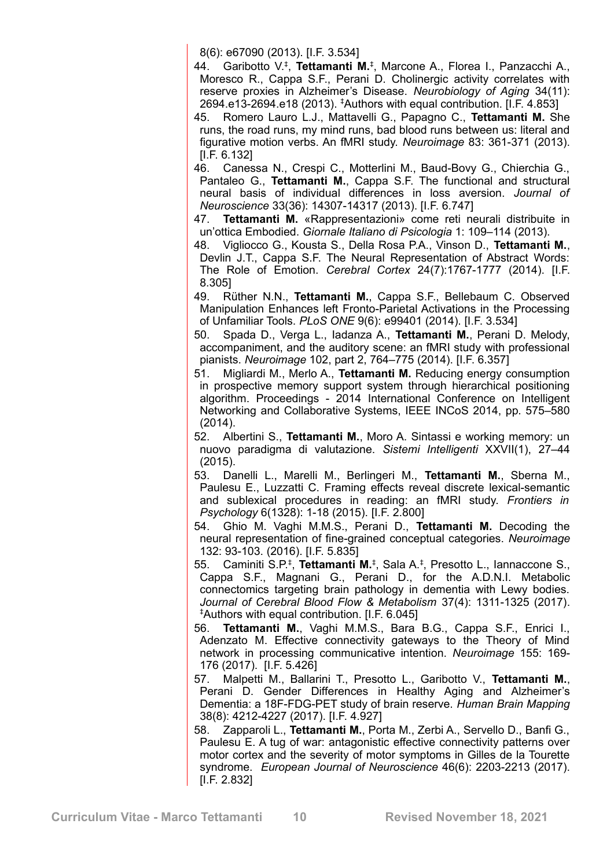8(6): e67090 (2013). [I.F. 3.534]

44. Garibotto V.‡ , **Tettamanti M.**‡ , Marcone A., Florea I., Panzacchi A., Moresco R., Cappa S.F., Perani D. Cholinergic activity correlates with reserve proxies in Alzheimer's Disease. *Neurobiology of Aging* 34(11): 2694.e13-2694.e18 (2013). ‡Authors with equal contribution. [I.F. 4.853]

- 45. Romero Lauro L.J., Mattavelli G., Papagno C., **Tettamanti M.** She runs, the road runs, my mind runs, bad blood runs between us: literal and figurative motion verbs. An fMRI study. *Neuroimage* 83: 361-371 (2013). [I.F. 6.132]
- 46. Canessa N., Crespi C., Motterlini M., Baud-Bovy G., Chierchia G., Pantaleo G., **Tettamanti M.**, Cappa S.F. The functional and structural neural basis of individual differences in loss aversion. *Journal of Neuroscience* 33(36): 14307-14317 (2013). [I.F. 6.747]

47. **Tettamanti M.** «Rappresentazioni» come reti neurali distribuite in un'ottica Embodied. *Giornale Italiano di Psicologia* 1: 109–114 (2013).

- 48. Vigliocco G., Kousta S., Della Rosa P.A., Vinson D., **Tettamanti M.**, Devlin J.T., Cappa S.F. The Neural Representation of Abstract Words: The Role of Emotion. *Cerebral Cortex* 24(7):1767-1777 (2014). [I.F. 8.305]
- 49. Rüther N.N., **Tettamanti M.**, Cappa S.F., Bellebaum C. Observed Manipulation Enhances left Fronto-Parietal Activations in the Processing of Unfamiliar Tools. *PLoS ONE* 9(6): e99401 (2014). [I.F. 3.534]
- 50. Spada D., Verga L., Iadanza A., **Tettamanti M.**, Perani D. Melody, accompaniment, and the auditory scene: an fMRI study with professional pianists. *Neuroimage* 102, part 2, 764–775 (2014). [I.F. 6.357]
- 51. Migliardi M., Merlo A., **Tettamanti M.** Reducing energy consumption in prospective memory support system through hierarchical positioning algorithm. Proceedings - 2014 International Conference on Intelligent Networking and Collaborative Systems, IEEE INCoS 2014, pp. 575–580 (2014).
- 52. Albertini S., **Tettamanti M.**, Moro A. Sintassi e working memory: un nuovo paradigma di valutazione. *Sistemi Intelligenti* XXVII(1), 27–44 (2015).
- 53. Danelli L., Marelli M., Berlingeri M., **Tettamanti M.**, Sberna M., Paulesu E., Luzzatti C. Framing effects reveal discrete lexical-semantic and sublexical procedures in reading: an fMRI study. *Frontiers in Psychology* 6(1328): 1-18 (2015). [I.F. 2.800]
- 54. Ghio M. Vaghi M.M.S., Perani D., **Tettamanti M.** Decoding the neural representation of fine-grained conceptual categories. *Neuroimage* 132: 93-103. (2016). [I.F. 5.835]
- 55. Caminiti S.P.‡ , **Tettamanti M.**‡ , Sala A.‡ , Presotto L., Iannaccone S., Cappa S.F., Magnani G., Perani D., for the A.D.N.I. Metabolic connectomics targeting brain pathology in dementia with Lewy bodies. *Journal of Cerebral Blood Flow & Metabolism* 37(4): 1311-1325 (2017). ‡Authors with equal contribution. [I.F. 6.045]
- 56. **Tettamanti M.**, Vaghi M.M.S., Bara B.G., Cappa S.F., Enrici I., Adenzato M. Effective connectivity gateways to the Theory of Mind network in processing communicative intention. *Neuroimage* 155: 169- 176 (2017). [I.F. 5.426]
- 57. Malpetti M., Ballarini T., Presotto L., Garibotto V., **Tettamanti M.**, Perani D. Gender Differences in Healthy Aging and Alzheimer's Dementia: a 18F-FDG-PET study of brain reserve. *Human Brain Mapping* 38(8): 4212-4227 (2017). [I.F. 4.927]
- 58. Zapparoli L., **Tettamanti M.**, Porta M., Zerbi A., Servello D., Banfi G., Paulesu E. A tug of war: antagonistic effective connectivity patterns over motor cortex and the severity of motor symptoms in Gilles de la Tourette syndrome. *European Journal of Neuroscience* 46(6): 2203-2213 (2017). [I.F. 2.832]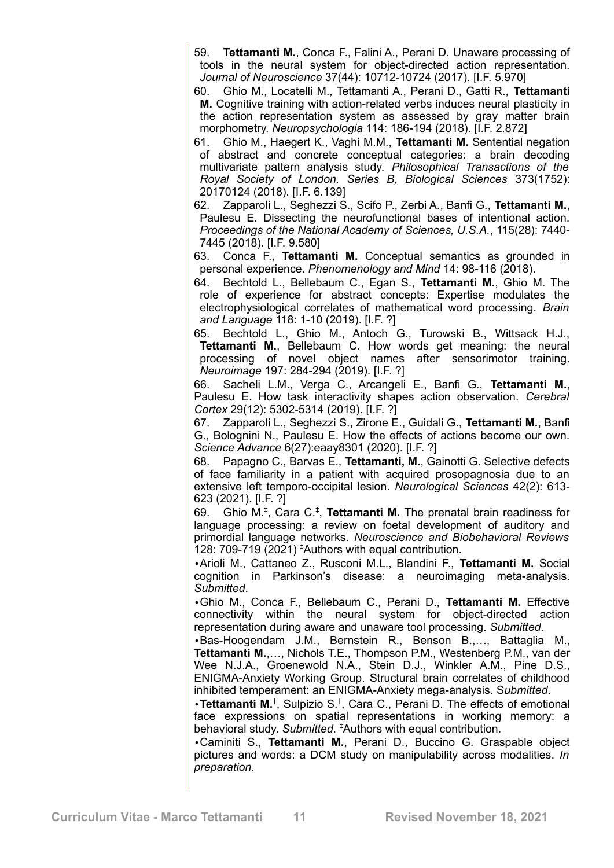59. **Tettamanti M.**, Conca F., Falini A., Perani D. Unaware processing of tools in the neural system for object-directed action representation. *Journal of Neuroscience* 37(44): 10712-10724 (2017). [I.F. 5.970]

60. Ghio M., Locatelli M., Tettamanti A., Perani D., Gatti R., **Tettamanti M.** Cognitive training with action-related verbs induces neural plasticity in the action representation system as assessed by gray matter brain morphometry. *Neuropsychologia* 114: 186-194 (2018). [I.F. 2.872]

61. Ghio M., Haegert K., Vaghi M.M., **Tettamanti M.** Sentential negation of abstract and concrete conceptual categories: a brain decoding multivariate pattern analysis study. *Philosophical Transactions of the Royal Society of London. Series B, Biological Sciences* 373(1752): 20170124 (2018). [I.F. 6.139]

62. Zapparoli L., Seghezzi S., Scifo P., Zerbi A., Banfi G., **Tettamanti M.**, Paulesu E. Dissecting the neurofunctional bases of intentional action. *Proceedings of the National Academy of Sciences, U.S.A.*, 115(28): 7440- 7445 (2018). [I.F. 9.580]

63. Conca F., **Tettamanti M.** Conceptual semantics as grounded in personal experience. *Phenomenology and Mind* 14: 98-116 (2018).

64. Bechtold L., Bellebaum C., Egan S., **Tettamanti M.**, Ghio M. The role of experience for abstract concepts: Expertise modulates the electrophysiological correlates of mathematical word processing. *Brain and Language* 118: 1-10 (2019). [I.F. ?]

65. Bechtold L., Ghio M., Antoch G., Turowski B., Wittsack H.J., **Tettamanti M.**, Bellebaum C. How words get meaning: the neural processing of novel object names after sensorimotor training. *Neuroimage* 197: 284-294 (2019). [I.F. ?]

66. Sacheli L.M., Verga C., Arcangeli E., Banfi G., **Tettamanti M.**, Paulesu E. How task interactivity shapes action observation. *Cerebral Cortex* 29(12): 5302-5314 (2019). [I.F. ?]

67. Zapparoli L., Seghezzi S., Zirone E., Guidali G., **Tettamanti M.**, Banfi G., Bolognini N., Paulesu E. How the effects of actions become our own. *Science Advance* 6(27):eaay8301 (2020). [I.F. ?]

68. Papagno C., Barvas E., **Tettamanti, M.**, Gainotti G. Selective defects of face familiarity in a patient with acquired prosopagnosia due to an extensive left temporo-occipital lesion. *Neurological Sciences* 42(2): 613- 623 (2021). [I.F. ?]

69. Ghio M.‡ , Cara C.‡ , **Tettamanti M.** The prenatal brain readiness for language processing: a review on foetal development of auditory and primordial language networks. *Neuroscience and Biobehavioral Reviews* 128: 709-719 (2021) ‡Authors with equal contribution.

•Arioli M., Cattaneo Z., Rusconi M.L., Blandini F., **Tettamanti M.** Social cognition in Parkinson's disease: a neuroimaging meta-analysis. *Submitted*.

•Ghio M., Conca F., Bellebaum C., Perani D., **Tettamanti M.** Effective connectivity within the neural system for object-directed action representation during aware and unaware tool processing. *Submitted*.

•Bas-Hoogendam J.M., Bernstein R., Benson B.,…, Battaglia M., **Tettamanti M.**,…, Nichols T.E., Thompson P.M., Westenberg P.M., van der Wee N.J.A., Groenewold N.A., Stein D.J., Winkler A.M., Pine D.S., ENIGMA-Anxiety Working Group. Structural brain correlates of childhood inhibited temperament: an ENIGMA-Anxiety mega-analysis. S*ubmitted*.

•**Tettamanti M.**‡ , Sulpizio S.‡ , Cara C., Perani D. The effects of emotional face expressions on spatial representations in working memory: a behavioral study. *Submitted*. ‡Authors with equal contribution.

•Caminiti S., **Tettamanti M.**, Perani D., Buccino G. Graspable object pictures and words: a DCM study on manipulability across modalities. *In preparation*.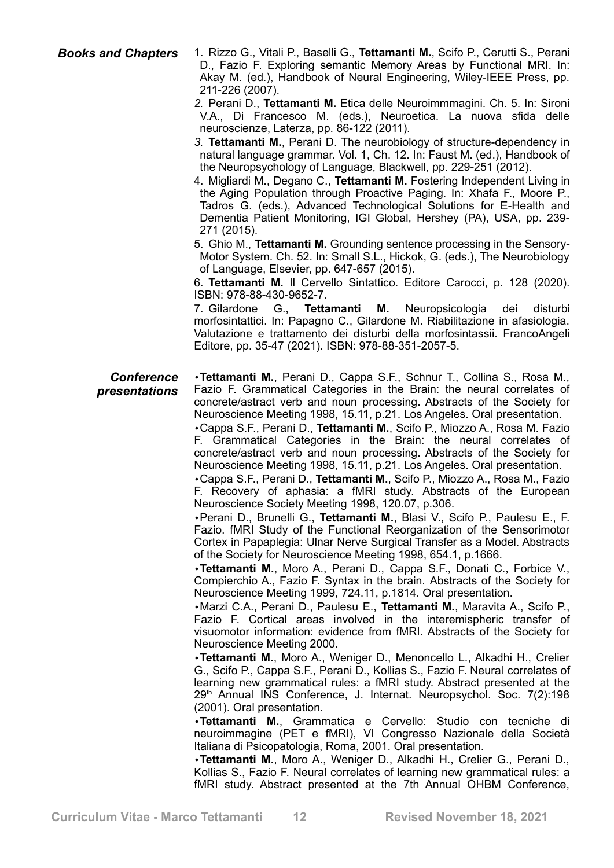*Books and Chapters* 1. Rizzo G., Vitali P., Baselli G., **Tettamanti M.**, Scifo P., Cerutti S., Perani D., Fazio F. Exploring semantic Memory Areas by Functional MRI. In: Akay M. (ed.), Handbook of Neural Engineering, Wiley-IEEE Press, pp.

> 211-226 (2007). *2.* Perani D., **Tettamanti M.** Etica delle Neuroimmmagini. Ch. 5. In: Sironi V.A., Di Francesco M. (eds.), Neuroetica. La nuova sfida delle neuroscienze, Laterza, pp. 86-122 (2011).

> *3.* **Tettamanti M.**, Perani D. The neurobiology of structure-dependency in natural language grammar. Vol. 1, Ch. 12. In: Faust M. (ed.), Handbook of the Neuropsychology of Language, Blackwell, pp. 229-251 (2012).

> 4. Migliardi M., Degano C., **Tettamanti M.** Fostering Independent Living in the Aging Population through Proactive Paging. In: Xhafa F., Moore P., Tadros G. (eds.), Advanced Technological Solutions for E-Health and Dementia Patient Monitoring, IGI Global, Hershey (PA), USA, pp. 239- 271 (2015).

> 5. Ghio M., **Tettamanti M.** Grounding sentence processing in the Sensory-Motor System. Ch. 52. In: Small S.L., Hickok, G. (eds.), The Neurobiology of Language, Elsevier, pp. 647-657 (2015).

> 6. **Tettamanti M.** Il Cervello Sintattico. Editore Carocci, p. 128 (2020). ISBN: 978-88-430-9652-7.

> 7. Gilardone G., **Tettamanti M.** Neuropsicologia dei disturbi morfosintattici. In: Papagno C., Gilardone M. Riabilitazione in afasiologia. Valutazione e trattamento dei disturbi della morfosintassii. FrancoAngeli Editore, pp. 35-47 (2021). ISBN: 978-88-351-2057-5.

## *Conference presentations*

•**Tettamanti M.**, Perani D., Cappa S.F., Schnur T., Collina S., Rosa M., Fazio F. Grammatical Categories in the Brain: the neural correlates of concrete/astract verb and noun processing. Abstracts of the Society for Neuroscience Meeting 1998, 15.11, p.21. Los Angeles. Oral presentation.

•Cappa S.F., Perani D., **Tettamanti M.**, Scifo P., Miozzo A., Rosa M. Fazio F. Grammatical Categories in the Brain: the neural correlates of concrete/astract verb and noun processing. Abstracts of the Society for Neuroscience Meeting 1998, 15.11, p.21. Los Angeles. Oral presentation.

•Cappa S.F., Perani D., **Tettamanti M.**, Scifo P., Miozzo A., Rosa M., Fazio F. Recovery of aphasia: a fMRI study. Abstracts of the European Neuroscience Society Meeting 1998, 120.07, p.306.

•Perani D., Brunelli G., **Tettamanti M.**, Blasi V., Scifo P., Paulesu E., F. Fazio. fMRI Study of the Functional Reorganization of the Sensorimotor Cortex in Papaplegia: Ulnar Nerve Surgical Transfer as a Model. Abstracts of the Society for Neuroscience Meeting 1998, 654.1, p.1666.

•**Tettamanti M.**, Moro A., Perani D., Cappa S.F., Donati C., Forbice V., Compierchio A., Fazio F. Syntax in the brain. Abstracts of the Society for Neuroscience Meeting 1999, 724.11, p.1814. Oral presentation.

•Marzi C.A., Perani D., Paulesu E., **Tettamanti M.**, Maravita A., Scifo P., Fazio F. Cortical areas involved in the interemispheric transfer of visuomotor information: evidence from fMRI. Abstracts of the Society for Neuroscience Meeting 2000.

•**Tettamanti M.**, Moro A., Weniger D., Menoncello L., Alkadhi H., Crelier G., Scifo P., Cappa S.F., Perani D., Kollias S., Fazio F. Neural correlates of learning new grammatical rules: a fMRI study. Abstract presented at the 29<sup>th</sup> Annual INS Conference, J. Internat. Neuropsychol. Soc. 7(2):198 (2001). Oral presentation.

•**Tettamanti M.**, Grammatica e Cervello: Studio con tecniche di neuroimmagine (PET e fMRI), VI Congresso Nazionale della Società Italiana di Psicopatologia, Roma, 2001. Oral presentation.

•**Tettamanti M.**, Moro A., Weniger D., Alkadhi H., Crelier G., Perani D., Kollias S., Fazio F. Neural correlates of learning new grammatical rules: a fMRI study. Abstract presented at the 7th Annual OHBM Conference,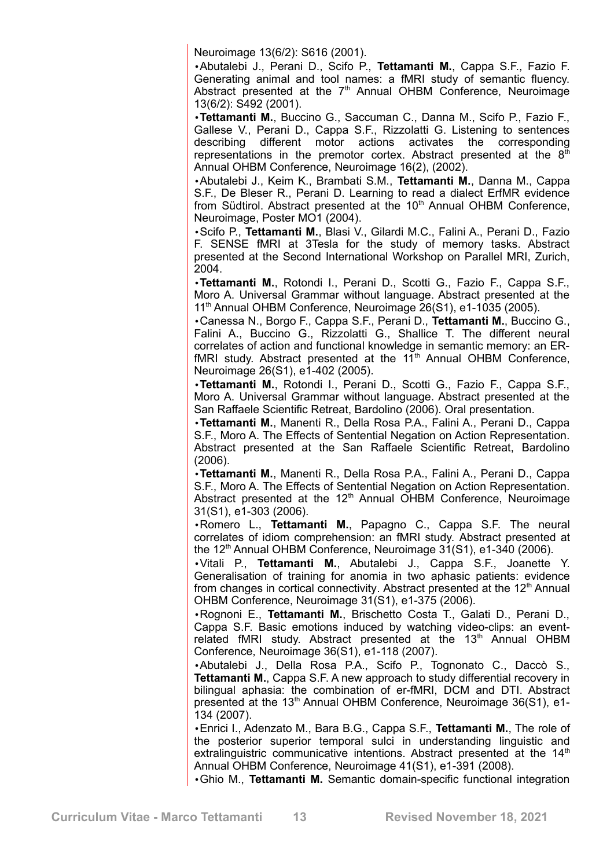Neuroimage 13(6/2): S616 (2001).

•Abutalebi J., Perani D., Scifo P., **Tettamanti M.**, Cappa S.F., Fazio F. Generating animal and tool names: a fMRI study of semantic fluency. Abstract presented at the  $7<sup>th</sup>$  Annual OHBM Conference, Neuroimage 13(6/2): S492 (2001).

•**Tettamanti M.**, Buccino G., Saccuman C., Danna M., Scifo P., Fazio F., Gallese V., Perani D., Cappa S.F., Rizzolatti G. Listening to sentences describing different motor actions activates the corresponding describing different motor actions activates the corresponding representations in the premotor cortex. Abstract presented at the  $8<sup>th</sup>$ Annual OHBM Conference, Neuroimage 16(2), (2002).

•Abutalebi J., Keim K., Brambati S.M., **Tettamanti M.**, Danna M., Cappa S.F., De Bleser R., Perani D. Learning to read a dialect ErfMR evidence from Südtirol. Abstract presented at the  $10<sup>th</sup>$  Annual OHBM Conference, Neuroimage, Poster MO1 (2004).

•Scifo P., **Tettamanti M.**, Blasi V., Gilardi M.C., Falini A., Perani D., Fazio F. SENSE fMRI at 3Tesla for the study of memory tasks. Abstract presented at the Second International Workshop on Parallel MRI, Zurich, 2004.

•**Tettamanti M.**, Rotondi I., Perani D., Scotti G., Fazio F., Cappa S.F., Moro A. Universal Grammar without language. Abstract presented at the 11<sup>th</sup> Annual OHBM Conference, Neuroimage 26(S1), e1-1035 (2005).

•Canessa N., Borgo F., Cappa S.F., Perani D., **Tettamanti M.**, Buccino G., Falini A., Buccino G., Rizzolatti G., Shallice T. The different neural correlates of action and functional knowledge in semantic memory: an ERfMRI study. Abstract presented at the  $11<sup>th</sup>$  Annual OHBM Conference, Neuroimage 26(S1), e1-402 (2005).

•**Tettamanti M.**, Rotondi I., Perani D., Scotti G., Fazio F., Cappa S.F., Moro A. Universal Grammar without language. Abstract presented at the San Raffaele Scientific Retreat, Bardolino (2006). Oral presentation.

•**Tettamanti M.**, Manenti R., Della Rosa P.A., Falini A., Perani D., Cappa S.F., Moro A. The Effects of Sentential Negation on Action Representation. Abstract presented at the San Raffaele Scientific Retreat, Bardolino (2006).

•**Tettamanti M.**, Manenti R., Della Rosa P.A., Falini A., Perani D., Cappa S.F., Moro A. The Effects of Sentential Negation on Action Representation. Abstract presented at the  $12<sup>th</sup>$  Annual OHBM Conference, Neuroimage 31(S1), e1-303 (2006).

•Romero L., **Tettamanti M.**, Papagno C., Cappa S.F. The neural correlates of idiom comprehension: an fMRI study. Abstract presented at the 12<sup>th</sup> Annual OHBM Conference, Neuroimage 31(S1), e1-340 (2006).

•Vitali P., **Tettamanti M.**, Abutalebi J., Cappa S.F., Joanette Y. Generalisation of training for anomia in two aphasic patients: evidence from changes in cortical connectivity. Abstract presented at the  $12<sup>th</sup>$  Annual OHBM Conference, Neuroimage 31(S1), e1-375 (2006).

•Rognoni E., **Tettamanti M.**, Brischetto Costa T., Galati D., Perani D., Cappa S.F. Basic emotions induced by watching video-clips: an eventrelated fMRI study. Abstract presented at the 13<sup>th</sup> Annual OHBM Conference, Neuroimage 36(S1), e1-118 (2007).

•Abutalebi J., Della Rosa P.A., Scifo P., Tognonato C., Daccò S., **Tettamanti M.**, Cappa S.F. A new approach to study differential recovery in bilingual aphasia: the combination of er-fMRI, DCM and DTI. Abstract presented at the  $13<sup>th</sup>$  Annual OHBM Conference, Neuroimage 36(S1), e1-134 (2007).

•Enrici I., Adenzato M., Bara B.G., Cappa S.F., **Tettamanti M.**, The role of the posterior superior temporal sulci in understanding linguistic and extralinguistric communicative intentions. Abstract presented at the 14<sup>th</sup> Annual OHBM Conference, Neuroimage 41(S1), e1-391 (2008).

•Ghio M., **Tettamanti M.** Semantic domain-specific functional integration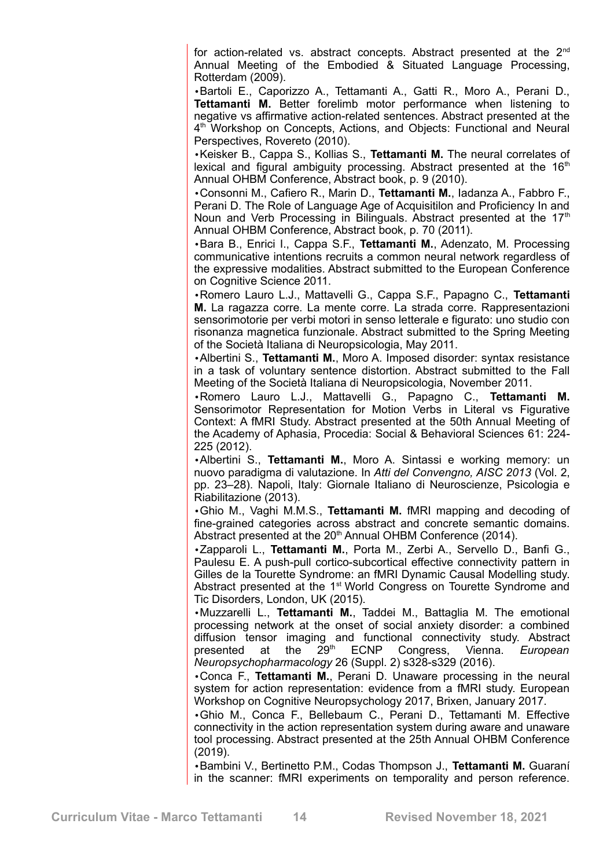for action-related vs. abstract concepts. Abstract presented at the 2<sup>nd</sup> Annual Meeting of the Embodied & Situated Language Processing, Rotterdam (2009).

•Bartoli E., Caporizzo A., Tettamanti A., Gatti R., Moro A., Perani D., **Tettamanti M.** Better forelimb motor performance when listening to negative vs affirmative action-related sentences. Abstract presented at the 4<sup>th</sup> Workshop on Concepts, Actions, and Objects: Functional and Neural Perspectives, Rovereto (2010).

•Keisker B., Cappa S., Kollias S., **Tettamanti M.** The neural correlates of lexical and figural ambiguity processing. Abstract presented at the  $16<sup>th</sup>$ Annual OHBM Conference, Abstract book, p. 9 (2010).

•Consonni M., Cafiero R., Marin D., **Tettamanti M.**, Iadanza A., Fabbro F., Perani D. The Role of Language Age of Acquisitilon and Proficiency In and Noun and Verb Processing in Bilinguals. Abstract presented at the  $17<sup>th</sup>$ Annual OHBM Conference, Abstract book, p. 70 (2011).

•Bara B., Enrici I., Cappa S.F., **Tettamanti M.**, Adenzato, M. Processing communicative intentions recruits a common neural network regardless of the expressive modalities. Abstract submitted to the European Conference on Cognitive Science 2011.

•Romero Lauro L.J., Mattavelli G., Cappa S.F., Papagno C., **Tettamanti M.** La ragazza corre. La mente corre. La strada corre. Rappresentazioni sensorimotorie per verbi motori in senso letterale e figurato: uno studio con risonanza magnetica funzionale. Abstract submitted to the Spring Meeting of the Società Italiana di Neuropsicologia, May 2011.

•Albertini S., **Tettamanti M.**, Moro A. Imposed disorder: syntax resistance in a task of voluntary sentence distortion. Abstract submitted to the Fall Meeting of the Società Italiana di Neuropsicologia, November 2011.

•Romero Lauro L.J., Mattavelli G., Papagno C., **Tettamanti M.** Sensorimotor Representation for Motion Verbs in Literal vs Figurative Context: A fMRI Study. Abstract presented at the 50th Annual Meeting of the Academy of Aphasia, Procedia: Social & Behavioral Sciences 61: 224- 225 (2012).

•Albertini S., **Tettamanti M.**, Moro A. Sintassi e working memory: un nuovo paradigma di valutazione. In *Atti del Convengno, AISC 2013* (Vol. 2, pp. 23–28). Napoli, Italy: Giornale Italiano di Neuroscienze, Psicologia e Riabilitazione (2013).

•Ghio M., Vaghi M.M.S., **Tettamanti M.** fMRI mapping and decoding of fine-grained categories across abstract and concrete semantic domains. Abstract presented at the 20<sup>th</sup> Annual OHBM Conference (2014).

•Zapparoli L., **Tettamanti M.**, Porta M., Zerbi A., Servello D., Banfi G., Paulesu E. A push-pull cortico-subcortical effective connectivity pattern in Gilles de la Tourette Syndrome: an fMRI Dynamic Causal Modelling study. Abstract presented at the 1<sup>st</sup> World Congress on Tourette Syndrome and Tic Disorders, London, UK (2015).

•Muzzarelli L., **Tettamanti M.**, Taddei M., Battaglia M. The emotional processing network at the onset of social anxiety disorder: a combined diffusion tensor imaging and functional connectivity study. Abstract presented at the 29<sup>th</sup> ECNP Congress. Vienna. *European* presented at the 29th ECNP Congress, Vienna. *European Neuropsychopharmacology* 26 (Suppl. 2) s328-s329 (2016).

•Conca F., **Tettamanti M.**, Perani D. Unaware processing in the neural system for action representation: evidence from a fMRI study. European Workshop on Cognitive Neuropsychology 2017, Brixen, January 2017.

•Ghio M., Conca F., Bellebaum C., Perani D., Tettamanti M. Effective connectivity in the action representation system during aware and unaware tool processing. Abstract presented at the 25th Annual OHBM Conference (2019).

•Bambini V., Bertinetto P.M., Codas Thompson J., **Tettamanti M.** Guaraní in the scanner: fMRI experiments on temporality and person reference.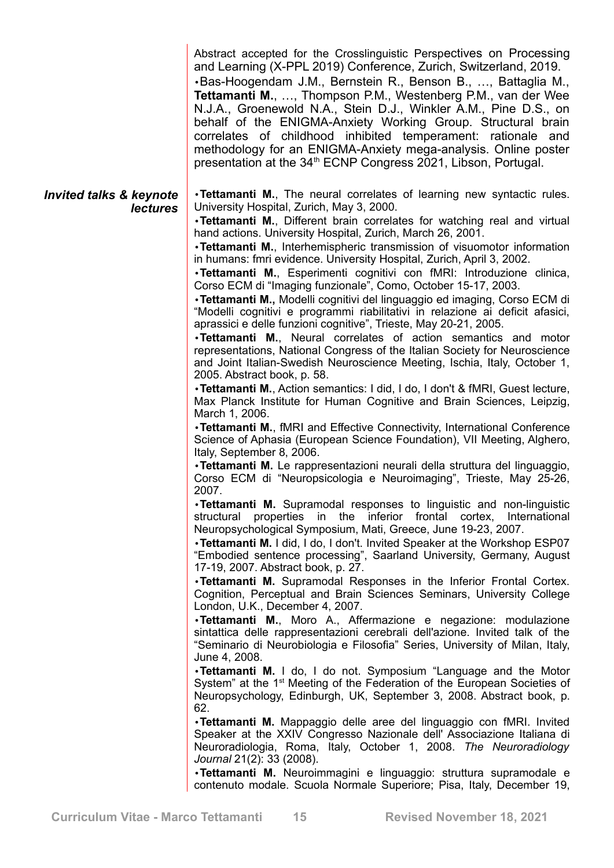|                                            | Abstract accepted for the Crosslinguistic Perspectives on Processing<br>and Learning (X-PPL 2019) Conference, Zurich, Switzerland, 2019.<br>.Bas-Hoogendam J.M., Bernstein R., Benson B., , Battaglia M.,<br><b>Tettamanti M., , Thompson P.M., Westenberg P.M., van der Wee</b><br>N.J.A., Groenewold N.A., Stein D.J., Winkler A.M., Pine D.S., on<br>behalf of the ENIGMA-Anxiety Working Group. Structural brain<br>correlates of childhood inhibited temperament: rationale and<br>methodology for an ENIGMA-Anxiety mega-analysis. Online poster<br>presentation at the 34 <sup>th</sup> ECNP Congress 2021, Libson, Portugal.                                                                                                                                                                                                                                                                                                                                                                                                                                                                                                                                                                                     |
|--------------------------------------------|--------------------------------------------------------------------------------------------------------------------------------------------------------------------------------------------------------------------------------------------------------------------------------------------------------------------------------------------------------------------------------------------------------------------------------------------------------------------------------------------------------------------------------------------------------------------------------------------------------------------------------------------------------------------------------------------------------------------------------------------------------------------------------------------------------------------------------------------------------------------------------------------------------------------------------------------------------------------------------------------------------------------------------------------------------------------------------------------------------------------------------------------------------------------------------------------------------------------------|
| Invited talks & keynote<br><b>lectures</b> | . Tettamanti M., The neural correlates of learning new syntactic rules.<br>University Hospital, Zurich, May 3, 2000.<br>. Tettamanti M., Different brain correlates for watching real and virtual<br>hand actions. University Hospital, Zurich, March 26, 2001.<br>•Tettamanti M., Interhemispheric transmission of visuomotor information<br>in humans: fmri evidence. University Hospital, Zurich, April 3, 2002.<br>.Tettamanti M., Esperimenti cognitivi con fMRI: Introduzione clinica,<br>Corso ECM di "Imaging funzionale", Como, October 15-17, 2003.<br>•Tettamanti M., Modelli cognitivi del linguaggio ed imaging, Corso ECM di<br>"Modelli cognitivi e programmi riabilitativi in relazione ai deficit afasici,<br>aprassici e delle funzioni cognitive", Trieste, May 20-21, 2005.<br>. Tettamanti M., Neural correlates of action semantics and motor<br>representations, National Congress of the Italian Society for Neuroscience<br>and Joint Italian-Swedish Neuroscience Meeting, Ischia, Italy, October 1,<br>2005. Abstract book, p. 58.<br>• Tettamanti M., Action semantics: I did, I do, I don't & fMRI, Guest lecture,<br>Max Planck Institute for Human Cognitive and Brain Sciences, Leipzig, |
|                                            | March 1, 2006.<br>• Tettamanti M., fMRI and Effective Connectivity, International Conference<br>Science of Aphasia (European Science Foundation), VII Meeting, Alghero,<br>Italy, September 8, 2006.<br>•Tettamanti M. Le rappresentazioni neurali della struttura del linguaggio,<br>Corso ECM di "Neuropsicologia e Neuroimaging", Trieste, May 25-26,                                                                                                                                                                                                                                                                                                                                                                                                                                                                                                                                                                                                                                                                                                                                                                                                                                                                 |
|                                            | 2007.<br>. Tettamanti M. Supramodal responses to linguistic and non-linguistic<br>structural properties in the inferior frontal cortex, International<br>Neuropsychological Symposium, Mati, Greece, June 19-23, 2007.<br>• Tettamanti M. I did, I do, I don't. Invited Speaker at the Workshop ESP07<br>"Embodied sentence processing", Saarland University, Germany, August<br>17-19, 2007. Abstract book, p. 27.                                                                                                                                                                                                                                                                                                                                                                                                                                                                                                                                                                                                                                                                                                                                                                                                      |
|                                            | . Tettamanti M. Supramodal Responses in the Inferior Frontal Cortex.<br>Cognition, Perceptual and Brain Sciences Seminars, University College<br>London, U.K., December 4, 2007.<br>•Tettamanti M., Moro A., Affermazione e negazione: modulazione<br>sintattica delle rappresentazioni cerebrali dell'azione. Invited talk of the<br>"Seminario di Neurobiologia e Filosofia" Series, University of Milan, Italy,<br>June 4, 2008.<br>•Tettamanti M. I do, I do not. Symposium "Language and the Motor<br>System" at the 1 <sup>st</sup> Meeting of the Federation of the European Societies of                                                                                                                                                                                                                                                                                                                                                                                                                                                                                                                                                                                                                         |
|                                            | Neuropsychology, Edinburgh, UK, September 3, 2008. Abstract book, p.<br>62.<br>· Tettamanti M. Mappaggio delle aree del linguaggio con fMRI. Invited<br>Speaker at the XXIV Congresso Nazionale dell' Associazione Italiana di<br>Neuroradiologia, Roma, Italy, October 1, 2008. The Neuroradiology<br>Journal 21(2): 33 (2008).<br>.Tettamanti M. Neuroimmagini e linguaggio: struttura supramodale e<br>contenuto modale. Scuola Normale Superiore; Pisa, Italy, December 19,                                                                                                                                                                                                                                                                                                                                                                                                                                                                                                                                                                                                                                                                                                                                          |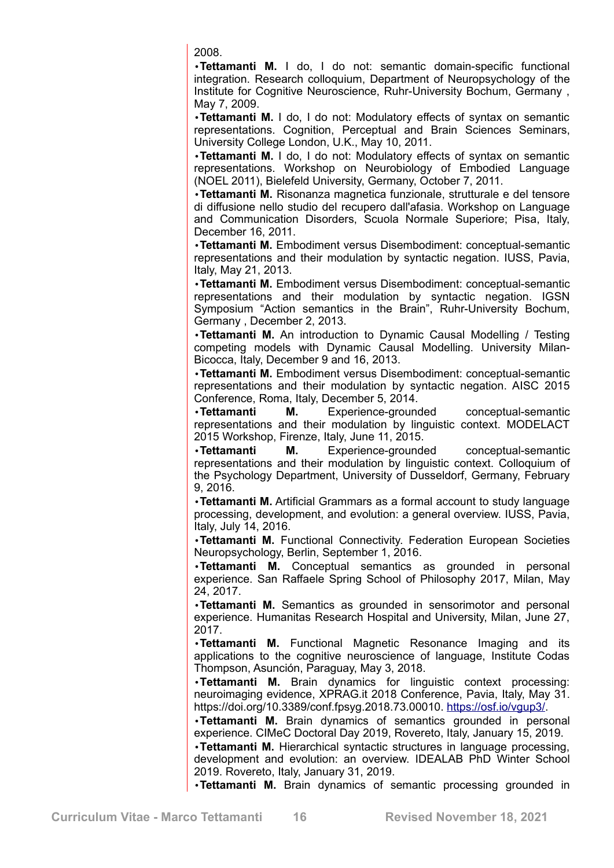2008.

•**Tettamanti M.** I do, I do not: semantic domain-specific functional integration. Research colloquium, Department of Neuropsychology of the Institute for Cognitive Neuroscience, Ruhr-University Bochum, Germany , May 7, 2009.

•**Tettamanti M.** I do, I do not: Modulatory effects of syntax on semantic representations. Cognition, Perceptual and Brain Sciences Seminars, University College London, U.K., May 10, 2011.

•**Tettamanti M.** I do, I do not: Modulatory effects of syntax on semantic representations. Workshop on Neurobiology of Embodied Language (NOEL 2011), Bielefeld University, Germany, October 7, 2011.

•**Tettamanti M.** Risonanza magnetica funzionale, strutturale e del tensore di diffusione nello studio del recupero dall'afasia. Workshop on Language and Communication Disorders, Scuola Normale Superiore; Pisa, Italy, December 16, 2011.

•**Tettamanti M.** Embodiment versus Disembodiment: conceptual-semantic representations and their modulation by syntactic negation. IUSS, Pavia, Italy, May 21, 2013.

•**Tettamanti M.** Embodiment versus Disembodiment: conceptual-semantic representations and their modulation by syntactic negation. IGSN Symposium "Action semantics in the Brain", Ruhr-University Bochum, Germany , December 2, 2013.

•**Tettamanti M.** An introduction to Dynamic Causal Modelling / Testing competing models with Dynamic Causal Modelling. University Milan-Bicocca, Italy, December 9 and 16, 2013.

•**Tettamanti M.** Embodiment versus Disembodiment: conceptual-semantic representations and their modulation by syntactic negation. AISC 2015 Conference, Roma, Italy, December 5, 2014.

•**Tettamanti M.** Experience-grounded conceptual-semantic representations and their modulation by linguistic context. MODELACT 2015 Workshop, Firenze, Italy, June 11, 2015.

•**Tettamanti M.** Experience-grounded conceptual-semantic representations and their modulation by linguistic context. Colloquium of the Psychology Department, University of Dusseldorf, Germany, February 9, 2016.

•**Tettamanti M.** Artificial Grammars as a formal account to study language processing, development, and evolution: a general overview. IUSS, Pavia, Italy, July 14, 2016.

•**Tettamanti M.** Functional Connectivity. Federation European Societies Neuropsychology, Berlin, September 1, 2016.

•**Tettamanti M.** Conceptual semantics as grounded in personal experience. San Raffaele Spring School of Philosophy 2017, Milan, May 24, 2017.

•**Tettamanti M.** Semantics as grounded in sensorimotor and personal experience. Humanitas Research Hospital and University, Milan, June 27, 2017.

•**Tettamanti M.** Functional Magnetic Resonance Imaging and its applications to the cognitive neuroscience of language, Institute Codas Thompson, Asunción, Paraguay, May 3, 2018.

•**Tettamanti M.** Brain dynamics for linguistic context processing: neuroimaging evidence, XPRAG.it 2018 Conference, Pavia, Italy, May 31. https://doi.org/10.3389/conf.fpsyg.2018.73.00010. [https://osf.io/vgup3/.](https://osf.io/vgup3/)

•**Tettamanti M.** Brain dynamics of semantics grounded in personal experience. CIMeC Doctoral Day 2019, Rovereto, Italy, January 15, 2019.

•**Tettamanti M.** Hierarchical syntactic structures in language processing, development and evolution: an overview. IDEALAB PhD Winter School 2019. Rovereto, Italy, January 31, 2019.

•**Tettamanti M.** Brain dynamics of semantic processing grounded in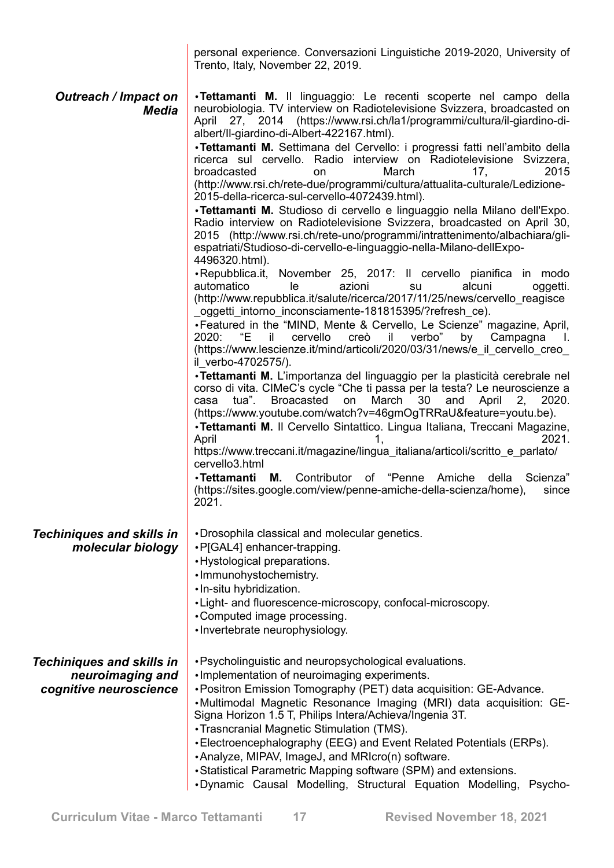| personal experience. Conversazioni Linguistiche 2019-2020, University of |  |  |  |
|--------------------------------------------------------------------------|--|--|--|
| Trento, Italy, November 22, 2019.                                        |  |  |  |

| <b>Outreach / Impact on</b><br>Media                                           | .Tettamanti M. Il linguaggio: Le recenti scoperte nel campo della<br>neurobiologia. TV interview on Radiotelevisione Svizzera, broadcasted on<br>April 27, 2014 (https://www.rsi.ch/la1/programmi/cultura/il-giardino-di-<br>albert/II-giardino-di-Albert-422167.html).<br>·Tettamanti M. Settimana del Cervello: i progressi fatti nell'ambito della<br>ricerca sul cervello. Radio interview on Radiotelevisione Svizzera,<br>broadcasted<br>March<br>2015<br>17,<br>on<br>(http://www.rsi.ch/rete-due/programmi/cultura/attualita-culturale/Ledizione-<br>2015-della-ricerca-sul-cervello-4072439.html).<br>· Tettamanti M. Studioso di cervello e linguaggio nella Milano dell'Expo.<br>Radio interview on Radiotelevisione Svizzera, broadcasted on April 30,<br>2015 (http://www.rsi.ch/rete-uno/programmi/intrattenimento/albachiara/gli-<br>espatriati/Studioso-di-cervello-e-linguaggio-nella-Milano-dellExpo-<br>4496320.html).<br>•Repubblica.it,<br>November 25, 2017: Il cervello pianifica in modo<br>automatico<br>le<br>azioni<br>alcuni<br>su<br>oggetti.<br>(http://www.repubblica.it/salute/ricerca/2017/11/25/news/cervello_reagisce<br>oggetti intorno inconsciamente-181815395/?refresh ce).<br>•Featured in the "MIND, Mente & Cervello, Le Scienze" magazine, April,<br>cervello<br>creò<br>verbo"<br>2020:<br>"Е<br>il.<br>il.<br>by<br>Campagna<br>- L<br>(https://www.lescienze.it/mind/articoli/2020/03/31/news/e il cervello creo<br>il verbo-4702575/).<br>·Tettamanti M. L'importanza del linguaggio per la plasticità cerebrale nel<br>corso di vita. CIMeC's cycle "Che ti passa per la testa? Le neuroscienze a<br><b>Broacasted</b><br>March<br>April<br>tua".<br>on<br>30<br>and<br>2, 2020.<br>casa<br>(https://www.youtube.com/watch?v=46gmOgTRRaU&feature=youtu.be).<br>· Tettamanti M. Il Cervello Sintattico. Lingua Italiana, Treccani Magazine,<br>2021.<br>April<br>1,<br>https://www.treccani.it/magazine/lingua_italiana/articoli/scritto_e_parlato/<br>cervello3.html<br>Contributor of "Penne<br>∙Tettamanti<br>М.<br>Amiche<br>della<br>Scienza"<br>(https://sites.google.com/view/penne-amiche-della-scienza/home),<br>since |
|--------------------------------------------------------------------------------|--------------------------------------------------------------------------------------------------------------------------------------------------------------------------------------------------------------------------------------------------------------------------------------------------------------------------------------------------------------------------------------------------------------------------------------------------------------------------------------------------------------------------------------------------------------------------------------------------------------------------------------------------------------------------------------------------------------------------------------------------------------------------------------------------------------------------------------------------------------------------------------------------------------------------------------------------------------------------------------------------------------------------------------------------------------------------------------------------------------------------------------------------------------------------------------------------------------------------------------------------------------------------------------------------------------------------------------------------------------------------------------------------------------------------------------------------------------------------------------------------------------------------------------------------------------------------------------------------------------------------------------------------------------------------------------------------------------------------------------------------------------------------------------------------------------------------------------------------------------------------------------------------------------------------------------------------------------------------------------------------------------------------------------------------------------------------------------------------------------------------------------------------------------------------------|
| <b>Techiniques and skills in</b><br>molecular biology                          | 2021.<br>•Drosophila classical and molecular genetics.<br>· P[GAL4] enhancer-trapping.<br>• Hystological preparations.<br>·Immunohystochemistry.<br>· In-situ hybridization.<br>• Light- and fluorescence-microscopy, confocal-microscopy.<br>•Computed image processing.<br>•Invertebrate neurophysiology.                                                                                                                                                                                                                                                                                                                                                                                                                                                                                                                                                                                                                                                                                                                                                                                                                                                                                                                                                                                                                                                                                                                                                                                                                                                                                                                                                                                                                                                                                                                                                                                                                                                                                                                                                                                                                                                                    |
| <b>Techiniques and skills in</b><br>neuroimaging and<br>cognitive neuroscience | . Psycholinguistic and neuropsychological evaluations.<br>. Implementation of neuroimaging experiments.<br>• Positron Emission Tomography (PET) data acquisition: GE-Advance.<br>•Multimodal Magnetic Resonance Imaging (MRI) data acquisition: GE-<br>Signa Horizon 1.5 T, Philips Intera/Achieva/Ingenia 3T.<br>• Trasncranial Magnetic Stimulation (TMS).<br>•Electroencephalography (EEG) and Event Related Potentials (ERPs).<br>• Analyze, MIPAV, ImageJ, and MRIcro(n) software.<br>• Statistical Parametric Mapping software (SPM) and extensions.<br>.Dynamic Causal Modelling, Structural Equation Modelling, Psycho-                                                                                                                                                                                                                                                                                                                                                                                                                                                                                                                                                                                                                                                                                                                                                                                                                                                                                                                                                                                                                                                                                                                                                                                                                                                                                                                                                                                                                                                                                                                                                |